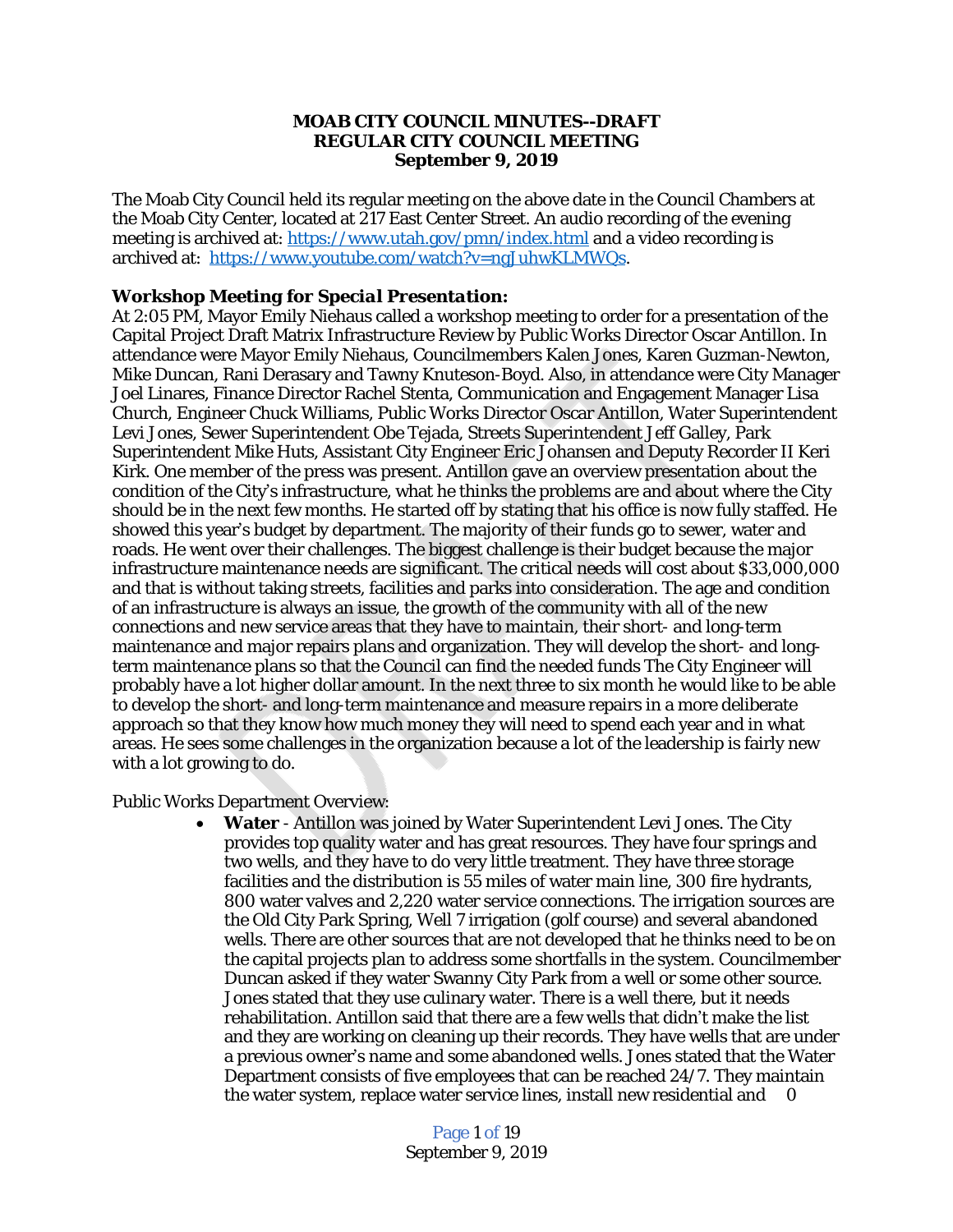#### **MOAB CITY COUNCIL MINUTES--DRAFT REGULAR CITY COUNCIL MEETING September 9, 2019**

The Moab City Council held its regular meeting on the above date in the Council Chambers at the Moab City Center, located at 217 East Center Street. An audio recording of the evening meeting is archived at: <https://www.utah.gov/pmn/index.html> and a video recording is archived at: [https://www.youtube.com/watch?v=ngJuhwKLMWQs.](https://www.youtube.com/watch?v=IN6YibnVd0k)

## *[Workshop Meeting for Special Presentation:](https://www.youtube.com/watch?v=IN6YibnVd0k)*

[At 2:05 PM, Mayor Emily Niehaus called a workshop meeting to order for a presentation of the](https://www.youtube.com/watch?v=IN6YibnVd0k)  [Capital Project Draft Matrix Infrastructure Review by Public Works Director Oscar Antillon. In](https://www.youtube.com/watch?v=IN6YibnVd0k)  [attendance were Mayor Emily Niehaus, Councilmembers Kalen Jones, Karen Guzman-Newton,](https://www.youtube.com/watch?v=IN6YibnVd0k)  [Mike Duncan, Rani Derasary and Tawny Knuteson-Boyd. Also, in attendance were City Manager](https://www.youtube.com/watch?v=IN6YibnVd0k) [Joel Linares,](https://www.youtube.com/watch?v=IN6YibnVd0k) [Finance Director Rachel Stenta, Communication and Engagement Manager Lisa](https://www.youtube.com/watch?v=IN6YibnVd0k)  [Church, Engineer Chuck Williams, Public Works Director Oscar Antillon, Water Superintendent](https://www.youtube.com/watch?v=IN6YibnVd0k) [Levi Jones, Sewer Superintendent Obe Tejada, Streets Superintendent Jeff Galley, Park](https://www.youtube.com/watch?v=IN6YibnVd0k)  [Superintendent Mike Huts, Assistant City Engineer Eric Johansen and Deputy Recorder II Keri](https://www.youtube.com/watch?v=IN6YibnVd0k)  [Kirk. One member of the press was present. Antillon gave an overview presentation about the](https://www.youtube.com/watch?v=IN6YibnVd0k) condition of the City'[s infrastructure, what he thinks the problems are and about where the City](https://www.youtube.com/watch?v=IN6YibnVd0k)  [should be in the next few months. He started off by stating that his office is now fully staffed. He](https://www.youtube.com/watch?v=IN6YibnVd0k)  showed this year'[s budget by department. The majority of their funds go to sewer, water and](https://www.youtube.com/watch?v=IN6YibnVd0k)  [roads. He went over their challenges. The biggest challenge is their budget because the](https://www.youtube.com/watch?v=IN6YibnVd0k) [major](https://www.youtube.com/watch?v=IN6YibnVd0k) [infrastructure maintenance needs are significant. The critical needs will cost about \\$33,000,000](https://www.youtube.com/watch?v=IN6YibnVd0k) [and that is without taking streets, facilities and parks into consideration. The age and condition](https://www.youtube.com/watch?v=IN6YibnVd0k)  [of an infrastructure is always an issue, the growth of the community with all of the new](https://www.youtube.com/watch?v=IN6YibnVd0k)  [connections and new service areas that they have to maintain, their short- and long-term](https://www.youtube.com/watch?v=IN6YibnVd0k) [maintenance and major repairs plans and organization. They will develop the short- and long](https://www.youtube.com/watch?v=IN6YibnVd0k)[term maintenance plans so that the Council can find the needed funds The City Engineer will](https://www.youtube.com/watch?v=IN6YibnVd0k)  [probably have a lot higher dollar amount. In the next three to six month he would like to be able](https://www.youtube.com/watch?v=IN6YibnVd0k)  [to develop the short- and long-term maintenance and measure repairs in a more deliberate](https://www.youtube.com/watch?v=IN6YibnVd0k)  [approach so that they know how much money they will need to spend each year and in what](https://www.youtube.com/watch?v=IN6YibnVd0k)  [areas. He sees some challenges in the organization because a lot of the leadership is fairly new](https://www.youtube.com/watch?v=IN6YibnVd0k)  [with a lot growing to do.](https://www.youtube.com/watch?v=IN6YibnVd0k) 

[Public Works Department Overview:](https://www.youtube.com/watch?v=IN6YibnVd0k)

 **[Water](https://www.youtube.com/watch?v=IN6YibnVd0k)** [- Antillon was joined by Water Superintendent Levi Jones. The City](https://www.youtube.com/watch?v=IN6YibnVd0k)  [provides top quality water and has great resources. They have four springs and](https://www.youtube.com/watch?v=IN6YibnVd0k)  [two wells, and they have to do very little treatment. They have three storage](https://www.youtube.com/watch?v=IN6YibnVd0k)  [facilities and the distribution is 55 miles of water main line, 300 fire hydrants,](https://www.youtube.com/watch?v=IN6YibnVd0k)  [800 water valves and 2,220 water service connections. The irrigation sources are](https://www.youtube.com/watch?v=IN6YibnVd0k)  [the Old City Park Spring, Well 7 irrigation \(golf course\) and several abandoned](https://www.youtube.com/watch?v=IN6YibnVd0k)  [wells. There are other sources that are not developed that he thinks need to be on](https://www.youtube.com/watch?v=IN6YibnVd0k)  [the capital projects plan to address some shortfalls in the system. Councilmember](https://www.youtube.com/watch?v=IN6YibnVd0k) [Duncan asked if they water Swanny City Park from a well or some other source.](https://www.youtube.com/watch?v=IN6YibnVd0k)  [Jones stated that they use culinary water. There is a well there, but it needs](https://www.youtube.com/watch?v=IN6YibnVd0k)  [rehabilitation. Antillon said that there are a few wells that didn](https://www.youtube.com/watch?v=IN6YibnVd0k)'t make the list [and they are working on cleaning up their records. They have wells that are under](https://www.youtube.com/watch?v=IN6YibnVd0k) a previous owner'[s name and some abandoned wells. Jones stated that the Water](https://www.youtube.com/watch?v=IN6YibnVd0k)  [Department consists of five employees that can be reached 24/7. They maintain](https://www.youtube.com/watch?v=IN6YibnVd0k)  the water system, replace water service lines, install new residential and 0

> Page 1 of 19 September 9, 2019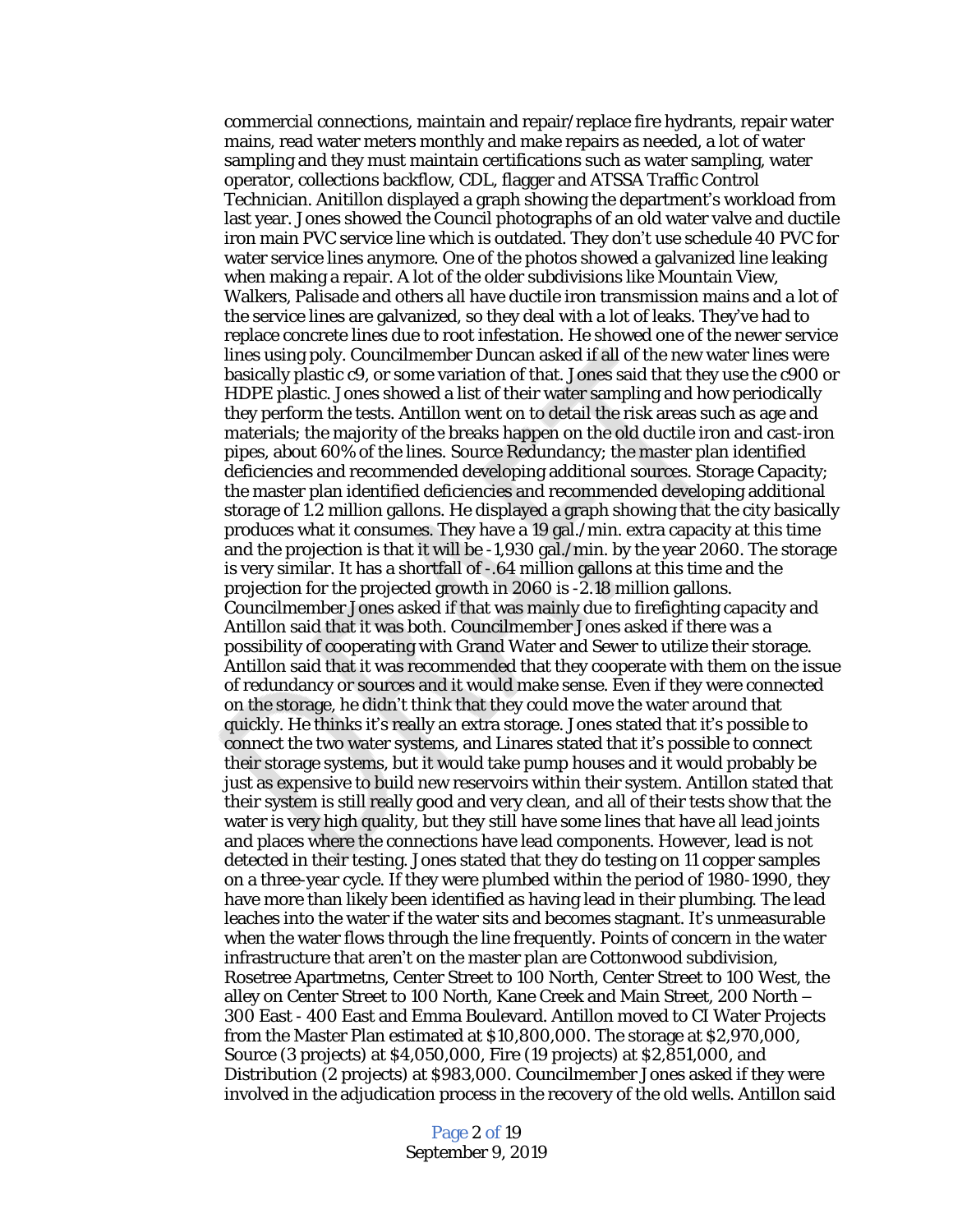commercial connections, maintain and repair/replace fire hydrants, repair water mains, read water meters monthly and make repairs as needed, a lot of water sampling and they must maintain certifications such as water sampling, water operator, collections backflow, CDL, flagger and ATSSA Traffic Control Technician. Anitillon displayed a graph showing the department's workload from last year. Jones showed the Council photographs of an old water valve and ductile iron main PVC service line which is outdated. They don't use schedule 40 PVC for water service lines anymore. One of the photos showed a galvanized line leaking when making a repair. A lot of the older subdivisions like Mountain View, Walkers, Palisade and others all have ductile iron transmission mains and a lot of the service lines are galvanized, so they deal with a lot of leaks. They've had to replace concrete lines due to root infestation. He showed one of the newer service lines using poly. Councilmember Duncan asked if all of the new water lines were basically plastic c9, or some variation of that. Jones said that they use the c900 or HDPE plastic. Jones showed a list of their water sampling and how periodically they perform the tests. Antillon went on to detail the risk areas such as age and materials; the majority of the breaks happen on the old ductile iron and cast-iron pipes, about 60% of the lines. Source Redundancy; the master plan identified deficiencies and recommended developing additional sources. Storage Capacity; the master plan identified deficiencies and recommended developing additional storage of 1.2 million gallons. He displayed a graph showing that the city basically produces what it consumes. They have a 19 gal./min. extra capacity at this time and the projection is that it will be -1,930 gal./min. by the year 2060. The storage is very similar. It has a shortfall of -.64 million gallons at this time and the projection for the projected growth in 2060 is -2.18 million gallons. Councilmember Jones asked if that was mainly due to firefighting capacity and Antillon said that it was both. Councilmember Jones asked if there was a possibility of cooperating with Grand Water and Sewer to utilize their storage. Antillon said that it was recommended that they cooperate with them on the issue of redundancy or sources and it would make sense. Even if they were connected on the storage, he didn't think that they could move the water around that quickly. He thinks it's really an extra storage. Jones stated that it's possible to connect the two water systems, and Linares stated that it's possible to connect their storage systems, but it would take pump houses and it would probably be just as expensive to build new reservoirs within their system. Antillon stated that their system is still really good and very clean, and all of their tests show that the water is very high quality, but they still have some lines that have all lead joints and places where the connections have lead components. However, lead is not detected in their testing. Jones stated that they do testing on 11 copper samples on a three-year cycle. If they were plumbed within the period of 1980-1990, they have more than likely been identified as having lead in their plumbing. The lead leaches into the water if the water sits and becomes stagnant. It's unmeasurable when the water flows through the line frequently. Points of concern in the water infrastructure that aren't on the master plan are Cottonwood subdivision, Rosetree Apartmetns, Center Street to 100 North, Center Street to 100 West, the alley on Center Street to 100 North, Kane Creek and Main Street, 200 North – 300 East - 400 East and Emma Boulevard. Antillon moved to CI Water Projects from the Master Plan estimated at \$10,800,000. The storage at \$2,970,000, Source (3 projects) at \$4,050,000, Fire (19 projects) at \$2,851,000, and Distribution (2 projects) at \$983,000. Councilmember Jones asked if they were involved in the adjudication process in the recovery of the old wells. Antillon said

> Page 2 of 19 September 9, 2019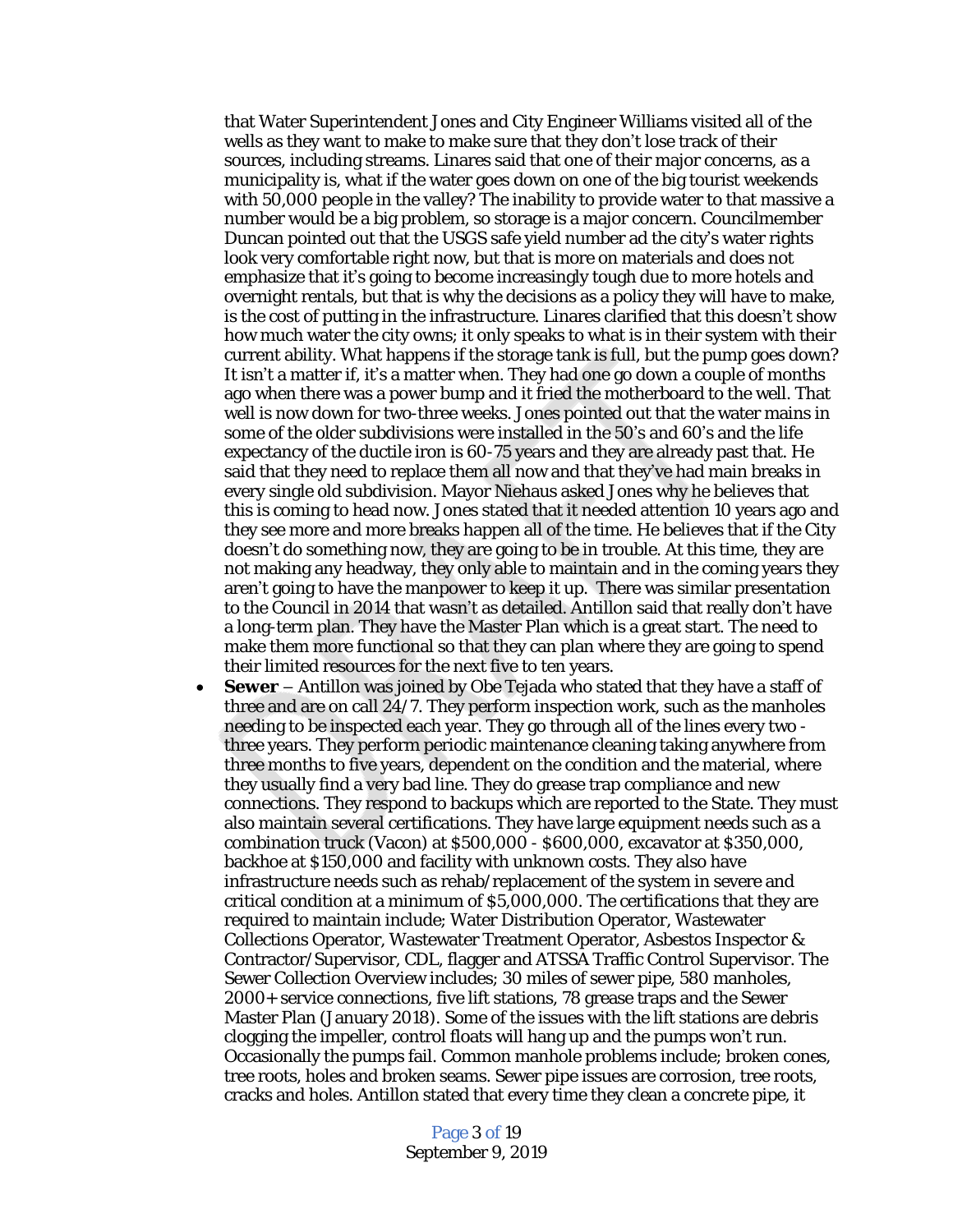that Water Superintendent Jones and City Engineer Williams visited all of the wells as they want to make to make sure that they don't lose track of their sources, including streams. Linares said that one of their major concerns, as a municipality is, what if the water goes down on one of the big tourist weekends with 50,000 people in the valley? The inability to provide water to that massive a number would be a big problem, so storage is a major concern. Councilmember Duncan pointed out that the USGS safe yield number ad the city's water rights look very comfortable right now, but that is more on materials and does not emphasize that it's going to become increasingly tough due to more hotels and overnight rentals, but that is why the decisions as a policy they will have to make, is the cost of putting in the infrastructure. Linares clarified that this doesn't show how much water the city owns; it only speaks to what is in their system with their current ability. What happens if the storage tank is full, but the pump goes down? It isn't a matter if, it's a matter when. They had one go down a couple of months ago when there was a power bump and it fried the motherboard to the well. That well is now down for two-three weeks. Jones pointed out that the water mains in some of the older subdivisions were installed in the 50's and 60's and the life expectancy of the ductile iron is 60-75 years and they are already past that. He said that they need to replace them all now and that they've had main breaks in every single old subdivision. Mayor Niehaus asked Jones why he believes that this is coming to head now. Jones stated that it needed attention 10 years ago and they see more and more breaks happen all of the time. He believes that if the City doesn't do something now, they are going to be in trouble. At this time, they are not making any headway, they only able to maintain and in the coming years they aren't going to have the manpower to keep it up. There was similar presentation to the Council in 2014 that wasn't as detailed. Antillon said that really don't have a long-term plan. They have the Master Plan which is a great start. The need to make them more functional so that they can plan where they are going to spend their limited resources for the next five to ten years.

 **Sewer** – Antillon was joined by Obe Tejada who stated that they have a staff of three and are on call 24/7. They perform inspection work, such as the manholes needing to be inspected each year. They go through all of the lines every two three years. They perform periodic maintenance cleaning taking anywhere from three months to five years, dependent on the condition and the material, where they usually find a very bad line. They do grease trap compliance and new connections. They respond to backups which are reported to the State. They must also maintain several certifications. They have large equipment needs such as a combination truck (Vacon) at \$500,000 - \$600,000, excavator at \$350,000, backhoe at \$150,000 and facility with unknown costs. They also have infrastructure needs such as rehab/replacement of the system in severe and critical condition at a minimum of \$5,000,000. The certifications that they are required to maintain include; Water Distribution Operator, Wastewater Collections Operator, Wastewater Treatment Operator, Asbestos Inspector & Contractor/Supervisor, CDL, flagger and ATSSA Traffic Control Supervisor. The Sewer Collection Overview includes; 30 miles of sewer pipe, 580 manholes, 2000+ service connections, five lift stations, 78 grease traps and the Sewer Master Plan (January 2018). Some of the issues with the lift stations are debris clogging the impeller, control floats will hang up and the pumps won't run. Occasionally the pumps fail. Common manhole problems include; broken cones, tree roots, holes and broken seams. Sewer pipe issues are corrosion, tree roots, cracks and holes. Antillon stated that every time they clean a concrete pipe, it

> Page 3 of 19 September 9, 2019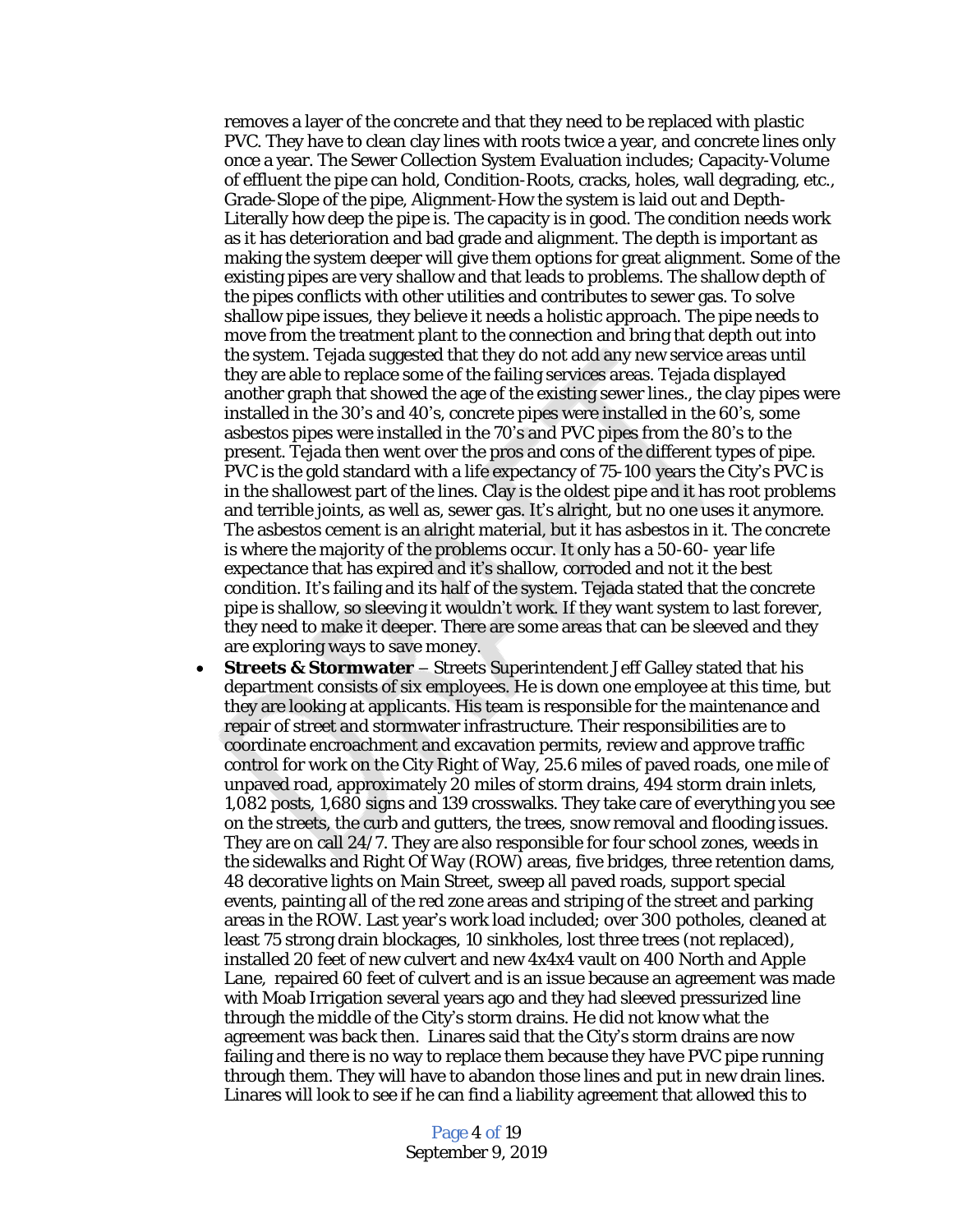removes a layer of the concrete and that they need to be replaced with plastic PVC. They have to clean clay lines with roots twice a year, and concrete lines only once a year. The Sewer Collection System Evaluation includes; Capacity-Volume of effluent the pipe can hold, Condition-Roots, cracks, holes, wall degrading, etc., Grade-Slope of the pipe, Alignment-How the system is laid out and Depth-Literally how deep the pipe is. The capacity is in good. The condition needs work as it has deterioration and bad grade and alignment. The depth is important as making the system deeper will give them options for great alignment. Some of the existing pipes are very shallow and that leads to problems. The shallow depth of the pipes conflicts with other utilities and contributes to sewer gas. To solve shallow pipe issues, they believe it needs a holistic approach. The pipe needs to move from the treatment plant to the connection and bring that depth out into the system. Tejada suggested that they do not add any new service areas until they are able to replace some of the failing services areas. Tejada displayed another graph that showed the age of the existing sewer lines., the clay pipes were installed in the 30's and 40's, concrete pipes were installed in the 60's, some asbestos pipes were installed in the 70's and PVC pipes from the 80's to the present. Tejada then went over the pros and cons of the different types of pipe. PVC is the gold standard with a life expectancy of 75-100 years the City's PVC is in the shallowest part of the lines. Clay is the oldest pipe and it has root problems and terrible joints, as well as, sewer gas. It's alright, but no one uses it anymore. The asbestos cement is an alright material, but it has asbestos in it. The concrete is where the majority of the problems occur. It only has a 50-60- year life expectance that has expired and it's shallow, corroded and not it the best condition. It's failing and its half of the system. Tejada stated that the concrete pipe is shallow, so sleeving it wouldn't work. If they want system to last forever, they need to make it deeper. There are some areas that can be sleeved and they are exploring ways to save money.

 **Streets & Stormwater** – Streets Superintendent Jeff Galley stated that his department consists of six employees. He is down one employee at this time, but they are looking at applicants. His team is responsible for the maintenance and repair of street and stormwater infrastructure. Their responsibilities are to coordinate encroachment and excavation permits, review and approve traffic control for work on the City Right of Way, 25.6 miles of paved roads, one mile of unpaved road, approximately 20 miles of storm drains, 494 storm drain inlets, 1,082 posts, 1,680 signs and 139 crosswalks. They take care of everything you see on the streets, the curb and gutters, the trees, snow removal and flooding issues. They are on call 24/7. They are also responsible for four school zones, weeds in the sidewalks and Right Of Way (ROW) areas, five bridges, three retention dams, 48 decorative lights on Main Street, sweep all paved roads, support special events, painting all of the red zone areas and striping of the street and parking areas in the ROW. Last year's work load included; over 300 potholes, cleaned at least 75 strong drain blockages, 10 sinkholes, lost three trees (not replaced), installed 20 feet of new culvert and new 4x4x4 vault on 400 North and Apple Lane, repaired 60 feet of culvert and is an issue because an agreement was made with Moab Irrigation several years ago and they had sleeved pressurized line through the middle of the City's storm drains. He did not know what the agreement was back then. Linares said that the City's storm drains are now failing and there is no way to replace them because they have PVC pipe running through them. They will have to abandon those lines and put in new drain lines. Linares will look to see if he can find a liability agreement that allowed this to

> Page 4 of 19 September 9, 2019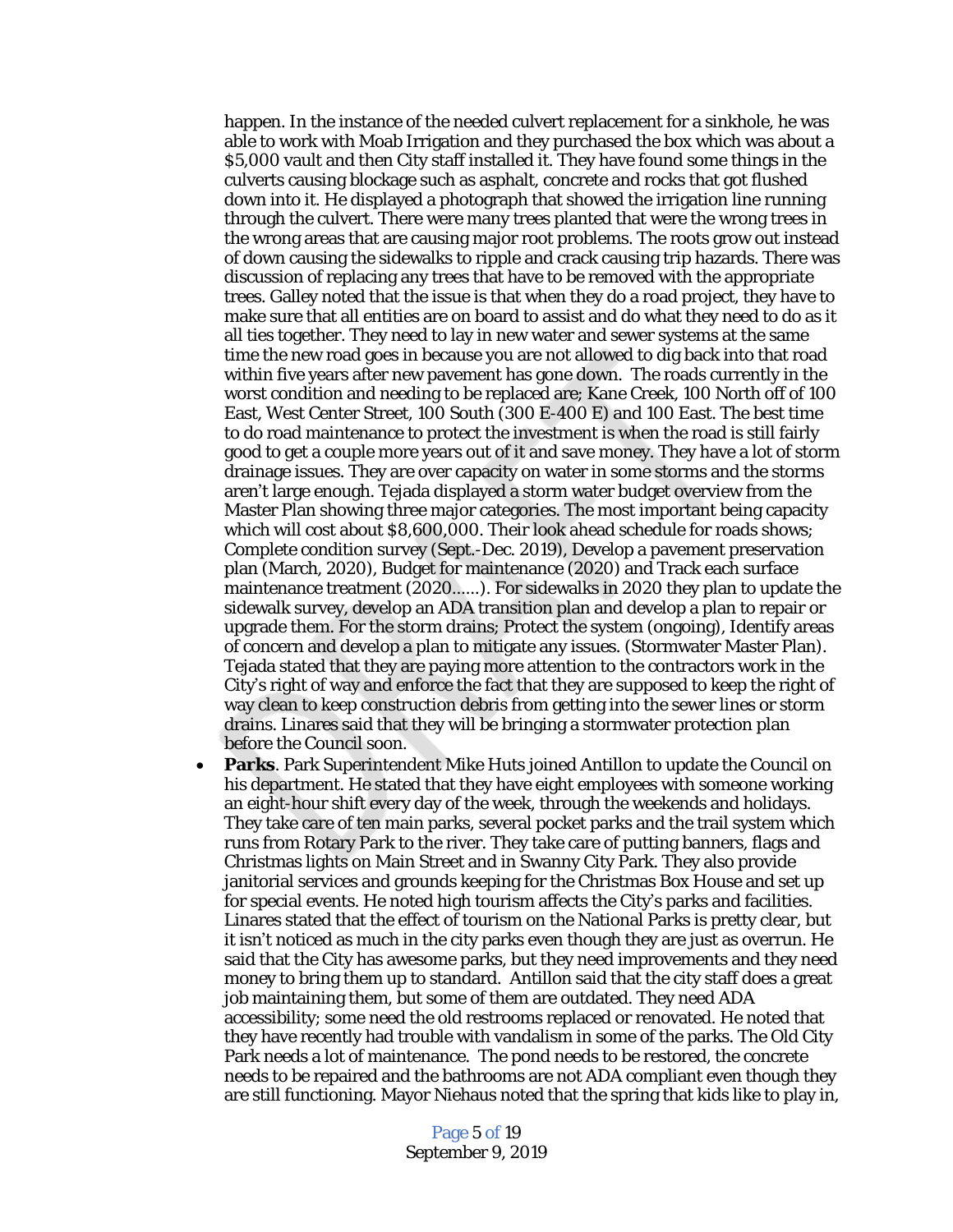happen. In the instance of the needed culvert replacement for a sinkhole, he was able to work with Moab Irrigation and they purchased the box which was about a \$5,000 vault and then City staff installed it. They have found some things in the culverts causing blockage such as asphalt, concrete and rocks that got flushed down into it. He displayed a photograph that showed the irrigation line running through the culvert. There were many trees planted that were the wrong trees in the wrong areas that are causing major root problems. The roots grow out instead of down causing the sidewalks to ripple and crack causing trip hazards. There was discussion of replacing any trees that have to be removed with the appropriate trees. Galley noted that the issue is that when they do a road project, they have to make sure that all entities are on board to assist and do what they need to do as it all ties together. They need to lay in new water and sewer systems at the same time the new road goes in because you are not allowed to dig back into that road within five years after new pavement has gone down. The roads currently in the worst condition and needing to be replaced are; Kane Creek, 100 North off of 100 East, West Center Street, 100 South (300 E-400 E) and 100 East. The best time to do road maintenance to protect the investment is when the road is still fairly good to get a couple more years out of it and save money. They have a lot of storm drainage issues. They are over capacity on water in some storms and the storms aren't large enough. Tejada displayed a storm water budget overview from the Master Plan showing three major categories. The most important being capacity which will cost about \$8,600,000. Their look ahead schedule for roads shows; Complete condition survey (Sept.-Dec. 2019), Develop a pavement preservation plan (March, 2020), Budget for maintenance (2020) and Track each surface maintenance treatment (2020……). For sidewalks in 2020 they plan to update the sidewalk survey, develop an ADA transition plan and develop a plan to repair or upgrade them. For the storm drains; Protect the system (ongoing), Identify areas of concern and develop a plan to mitigate any issues. (Stormwater Master Plan). Tejada stated that they are paying more attention to the contractors work in the City's right of way and enforce the fact that they are supposed to keep the right of way clean to keep construction debris from getting into the sewer lines or storm drains. Linares said that they will be bringing a stormwater protection plan before the Council soon.

**Parks**. Park Superintendent Mike Huts joined Antillon to update the Council on his department. He stated that they have eight employees with someone working an eight-hour shift every day of the week, through the weekends and holidays. They take care of ten main parks, several pocket parks and the trail system which runs from Rotary Park to the river. They take care of putting banners, flags and Christmas lights on Main Street and in Swanny City Park. They also provide janitorial services and grounds keeping for the Christmas Box House and set up for special events. He noted high tourism affects the City's parks and facilities. Linares stated that the effect of tourism on the National Parks is pretty clear, but it isn't noticed as much in the city parks even though they are just as overrun. He said that the City has awesome parks, but they need improvements and they need money to bring them up to standard. Antillon said that the city staff does a great job maintaining them, but some of them are outdated. They need ADA accessibility; some need the old restrooms replaced or renovated. He noted that they have recently had trouble with vandalism in some of the parks. The Old City Park needs a lot of maintenance. The pond needs to be restored, the concrete needs to be repaired and the bathrooms are not ADA compliant even though they are still functioning. Mayor Niehaus noted that the spring that kids like to play in,

> Page 5 of 19 September 9, 2019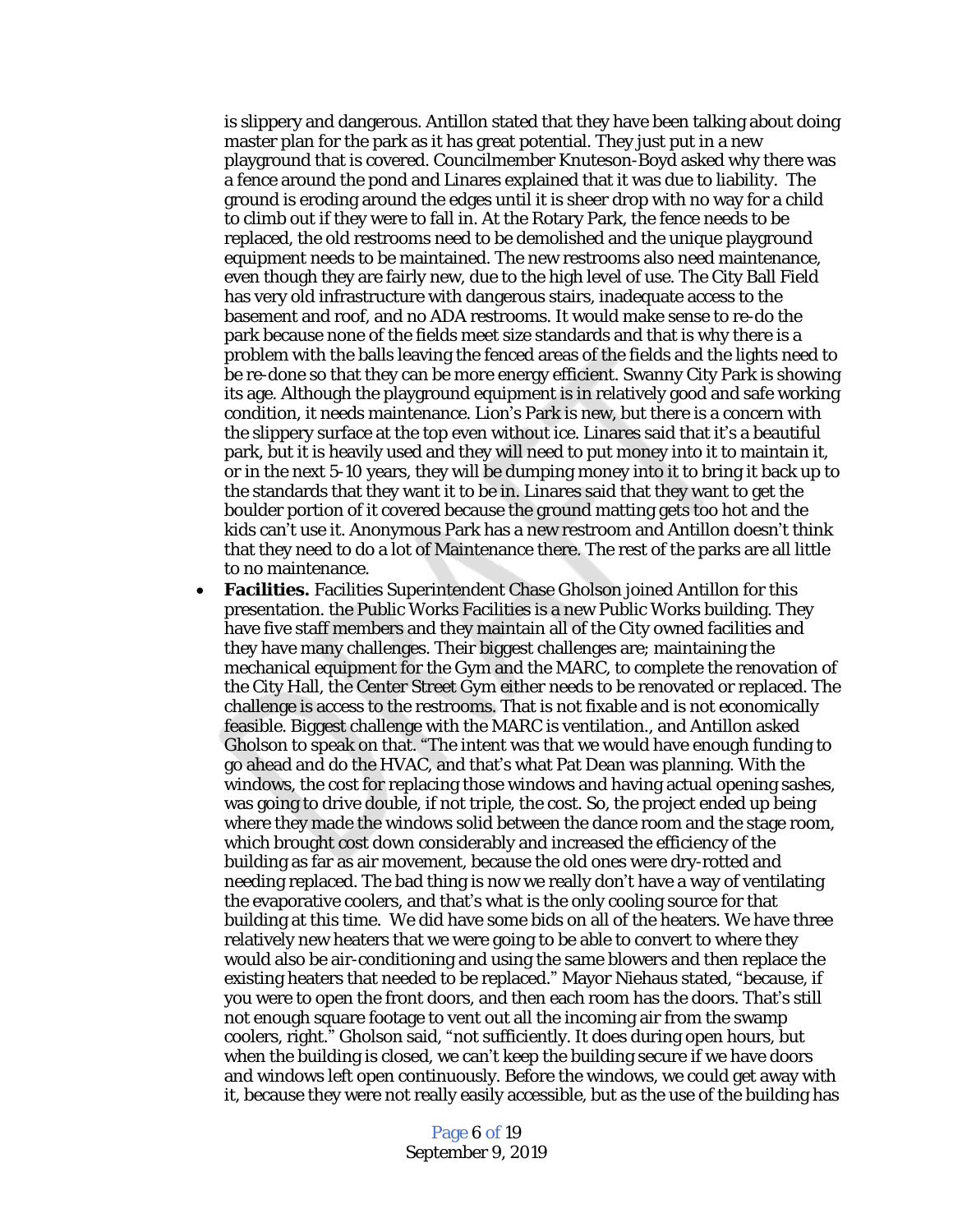is slippery and dangerous. Antillon stated that they have been talking about doing master plan for the park as it has great potential. They just put in a new playground that is covered. Councilmember Knuteson-Boyd asked why there was a fence around the pond and Linares explained that it was due to liability. The ground is eroding around the edges until it is sheer drop with no way for a child to climb out if they were to fall in. At the Rotary Park, the fence needs to be replaced, the old restrooms need to be demolished and the unique playground equipment needs to be maintained. The new restrooms also need maintenance, even though they are fairly new, due to the high level of use. The City Ball Field has very old infrastructure with dangerous stairs, inadequate access to the basement and roof, and no ADA restrooms. It would make sense to re-do the park because none of the fields meet size standards and that is why there is a problem with the balls leaving the fenced areas of the fields and the lights need to be re-done so that they can be more energy efficient. Swanny City Park is showing its age. Although the playground equipment is in relatively good and safe working condition, it needs maintenance. Lion's Park is new, but there is a concern with the slippery surface at the top even without ice. Linares said that it's a beautiful park, but it is heavily used and they will need to put money into it to maintain it, or in the next 5-10 years, they will be dumping money into it to bring it back up to the standards that they want it to be in. Linares said that they want to get the boulder portion of it covered because the ground matting gets too hot and the kids can't use it. Anonymous Park has a new restroom and Antillon doesn't think that they need to do a lot of Maintenance there. The rest of the parks are all little to no maintenance.

 **Facilities.** Facilities Superintendent Chase Gholson joined Antillon for this presentation. the Public Works Facilities is a new Public Works building. They have five staff members and they maintain all of the City owned facilities and they have many challenges. Their biggest challenges are; maintaining the mechanical equipment for the Gym and the MARC, to complete the renovation of the City Hall, the Center Street Gym either needs to be renovated or replaced. The challenge is access to the restrooms. That is not fixable and is not economically feasible. Biggest challenge with the MARC is ventilation., and Antillon asked Gholson to speak on that. "The intent was that we would have enough funding to go ahead and do the HVAC, and that's what Pat Dean was planning. With the windows, the cost for replacing those windows and having actual opening sashes, was going to drive double, if not triple, the cost. So, the project ended up being where they made the windows solid between the dance room and the stage room, which brought cost down considerably and increased the efficiency of the building as far as air movement, because the old ones were dry-rotted and needing replaced. The bad thing is now we really don't have a way of ventilating the evaporative coolers, and that's what is the only cooling source for that building at this time. We did have some bids on all of the heaters. We have three relatively new heaters that we were going to be able to convert to where they would also be air-conditioning and using the same blowers and then replace the existing heaters that needed to be replaced." Mayor Niehaus stated, "because, if you were to open the front doors, and then each room has the doors. That's still not enough square footage to vent out all the incoming air from the swamp coolers, right." Gholson said, "not sufficiently. It does during open hours, but when the building is closed, we can't keep the building secure if we have doors and windows left open continuously. Before the windows, we could get away with it, because they were not really easily accessible, but as the use of the building has

> Page 6 of 19 September 9, 2019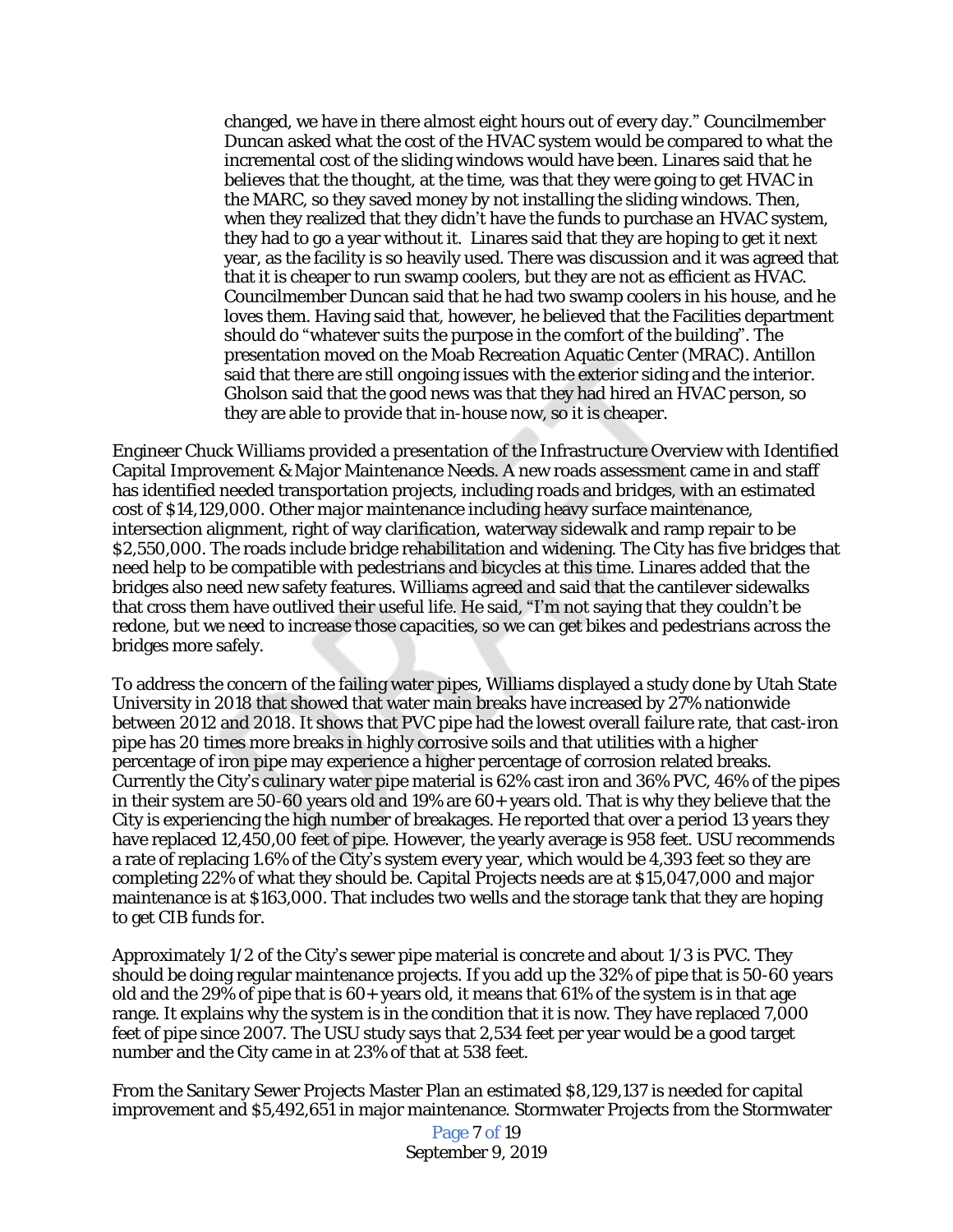changed, we have in there almost eight hours out of every day." Councilmember Duncan asked what the cost of the HVAC system would be compared to what the incremental cost of the sliding windows would have been. Linares said that he believes that the thought, at the time, was that they were going to get HVAC in the MARC, so they saved money by not installing the sliding windows. Then, when they realized that they didn't have the funds to purchase an HVAC system, they had to go a year without it. Linares said that they are hoping to get it next year, as the facility is so heavily used. There was discussion and it was agreed that that it is cheaper to run swamp coolers, but they are not as efficient as HVAC. Councilmember Duncan said that he had two swamp coolers in his house, and he loves them. Having said that, however, he believed that the Facilities department should do "whatever suits the purpose in the comfort of the building". The presentation moved on the Moab Recreation Aquatic Center (MRAC). Antillon said that there are still ongoing issues with the exterior siding and the interior. Gholson said that the good news was that they had hired an HVAC person, so they are able to provide that in-house now, so it is cheaper.

Engineer Chuck Williams provided a presentation of the Infrastructure Overview with Identified Capital Improvement & Major Maintenance Needs. A new roads assessment came in and staff has identified needed transportation projects, including roads and bridges, with an estimated cost of \$14,129,000. Other major maintenance including heavy surface maintenance, intersection alignment, right of way clarification, waterway sidewalk and ramp repair to be \$2,550,000. The roads include bridge rehabilitation and widening. The City has five bridges that need help to be compatible with pedestrians and bicycles at this time. Linares added that the bridges also need new safety features. Williams agreed and said that the cantilever sidewalks that cross them have outlived their useful life. He said, "I'm not saying that they couldn't be redone, but we need to increase those capacities, so we can get bikes and pedestrians across the bridges more safely.

To address the concern of the failing water pipes, Williams displayed a study done by Utah State University in 2018 that showed that water main breaks have increased by 27% nationwide between 2012 and 2018. It shows that PVC pipe had the lowest overall failure rate, that cast-iron pipe has 20 times more breaks in highly corrosive soils and that utilities with a higher percentage of iron pipe may experience a higher percentage of corrosion related breaks. Currently the City's culinary water pipe material is 62% cast iron and 36% PVC, 46% of the pipes in their system are 50-60 years old and 19% are 60+ years old. That is why they believe that the City is experiencing the high number of breakages. He reported that over a period 13 years they have replaced 12,450,00 feet of pipe. However, the yearly average is 958 feet. USU recommends a rate of replacing 1.6% of the City's system every year, which would be 4,393 feet so they are completing 22% of what they should be. Capital Projects needs are at \$15,047,000 and major maintenance is at \$163,000. That includes two wells and the storage tank that they are hoping to get CIB funds for.

Approximately 1/2 of the City's sewer pipe material is concrete and about 1/3 is PVC. They should be doing regular maintenance projects. If you add up the 32% of pipe that is 50-60 years old and the 29% of pipe that is  $60+$  years old, it means that  $61%$  of the system is in that age range. It explains why the system is in the condition that it is now. They have replaced 7,000 feet of pipe since 2007. The USU study says that 2,534 feet per year would be a good target number and the City came in at 23% of that at 538 feet.

From the Sanitary Sewer Projects Master Plan an estimated \$8,129,137 is needed for capital improvement and \$5,492,651 in major maintenance. Stormwater Projects from the Stormwater

> Page 7 of 19 September 9, 2019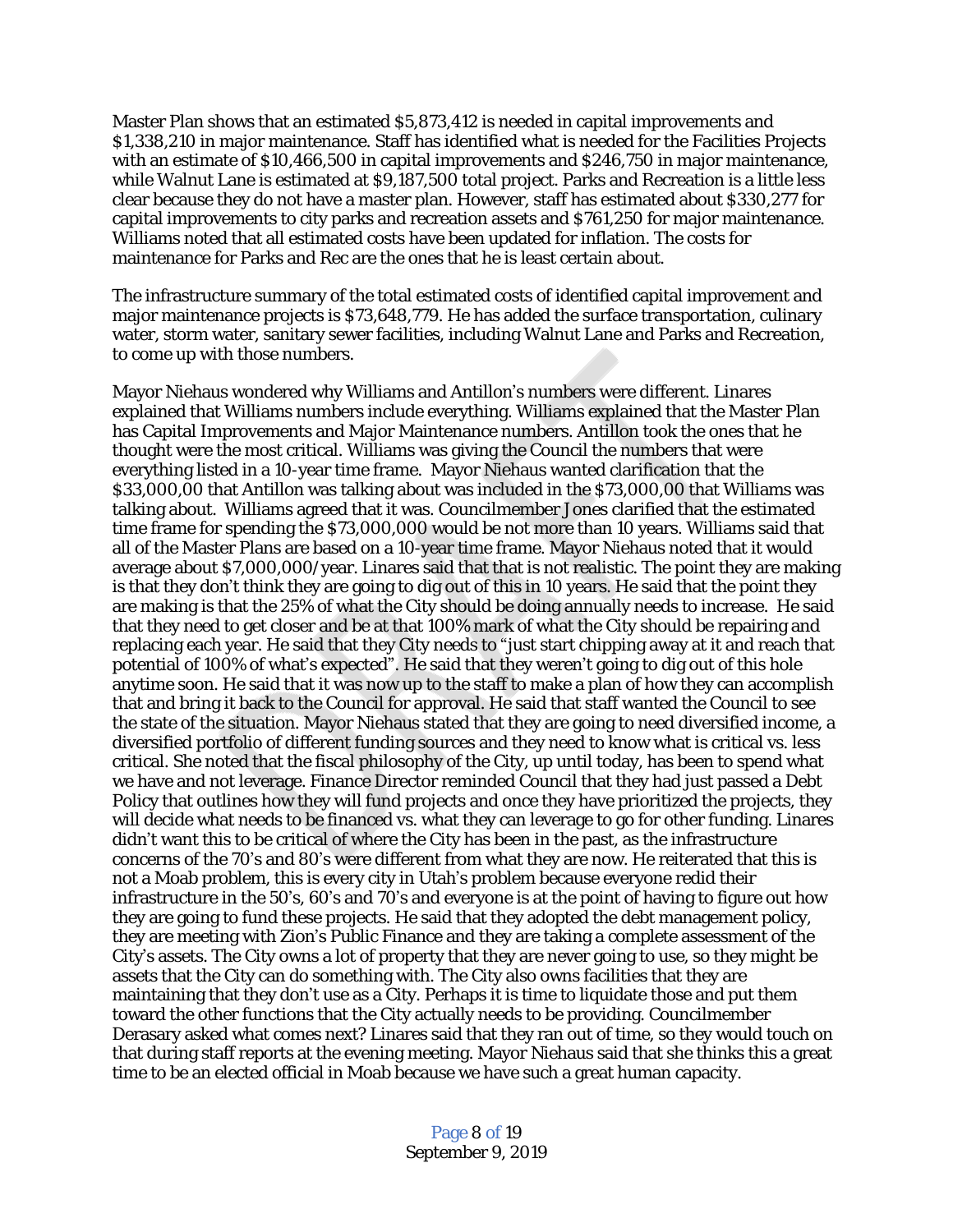Master Plan shows that an estimated \$5,873,412 is needed in capital improvements and \$1,338,210 in major maintenance. Staff has identified what is needed for the Facilities Projects with an estimate of \$10,466,500 in capital improvements and \$246,750 in major maintenance, while Walnut Lane is estimated at \$9,187,500 total project. Parks and Recreation is a little less clear because they do not have a master plan. However, staff has estimated about \$330,277 for capital improvements to city parks and recreation assets and \$761,250 for major maintenance. Williams noted that all estimated costs have been updated for inflation. The costs for maintenance for Parks and Rec are the ones that he is least certain about.

The infrastructure summary of the total estimated costs of identified capital improvement and major maintenance projects is \$73,648,779. He has added the surface transportation, culinary water, storm water, sanitary sewer facilities, including Walnut Lane and Parks and Recreation, to come up with those numbers.

Mayor Niehaus wondered why Williams and Antillon's numbers were different. Linares explained that Williams numbers include everything. Williams explained that the Master Plan has Capital Improvements and Major Maintenance numbers. Antillon took the ones that he thought were the most critical. Williams was giving the Council the numbers that were everything listed in a 10-year time frame. Mayor Niehaus wanted clarification that the \$33,000,00 that Antillon was talking about was included in the \$73,000,00 that Williams was talking about. Williams agreed that it was. Councilmember Jones clarified that the estimated time frame for spending the \$73,000,000 would be not more than 10 years. Williams said that all of the Master Plans are based on a 10-year time frame. Mayor Niehaus noted that it would average about \$7,000,000/year. Linares said that that is not realistic. The point they are making is that they don't think they are going to dig out of this in 10 years. He said that the point they are making is that the 25% of what the City should be doing annually needs to increase. He said that they need to get closer and be at that 100% mark of what the City should be repairing and replacing each year. He said that they City needs to "just start chipping away at it and reach that potential of 100% of what's expected". He said that they weren't going to dig out of this hole anytime soon. He said that it was now up to the staff to make a plan of how they can accomplish that and bring it back to the Council for approval. He said that staff wanted the Council to see the state of the situation. Mayor Niehaus stated that they are going to need diversified income, a diversified portfolio of different funding sources and they need to know what is critical vs. less critical. She noted that the fiscal philosophy of the City, up until today, has been to spend what we have and not leverage. Finance Director reminded Council that they had just passed a Debt Policy that outlines how they will fund projects and once they have prioritized the projects, they will decide what needs to be financed vs. what they can leverage to go for other funding. Linares didn't want this to be critical of where the City has been in the past, as the infrastructure concerns of the 70's and 80's were different from what they are now. He reiterated that this is not a Moab problem, this is every city in Utah's problem because everyone redid their infrastructure in the 50's, 60's and 70's and everyone is at the point of having to figure out how they are going to fund these projects. He said that they adopted the debt management policy, they are meeting with Zion's Public Finance and they are taking a complete assessment of the City's assets. The City owns a lot of property that they are never going to use, so they might be assets that the City can do something with. The City also owns facilities that they are maintaining that they don't use as a City. Perhaps it is time to liquidate those and put them toward the other functions that the City actually needs to be providing. Councilmember Derasary asked what comes next? Linares said that they ran out of time, so they would touch on that during staff reports at the evening meeting. Mayor Niehaus said that she thinks this a great time to be an elected official in Moab because we have such a great human capacity.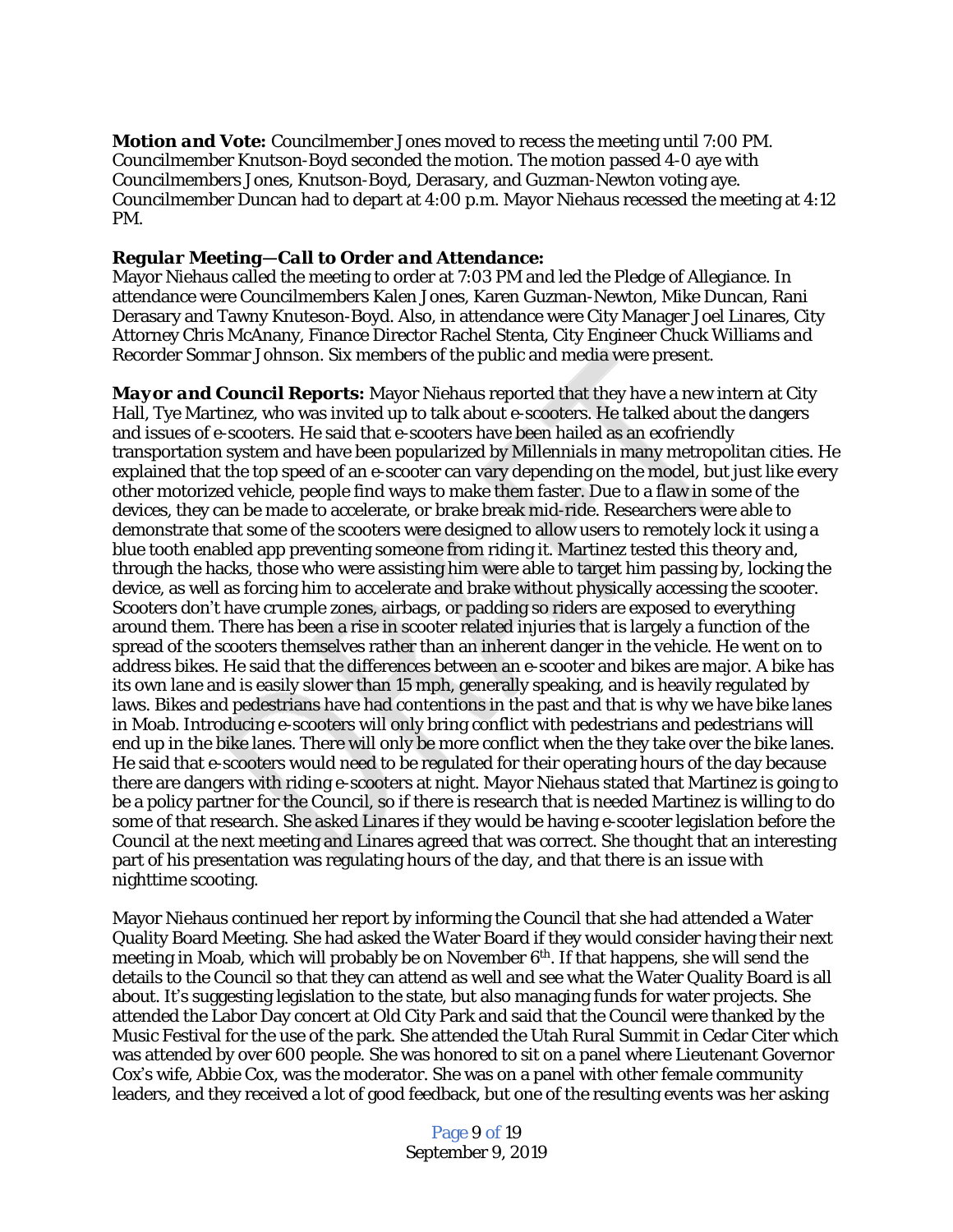*Motion and Vote:* Councilmember Jones moved to recess the meeting until 7:00 PM. Councilmember Knutson-Boyd seconded the motion. The motion passed 4-0 aye with Councilmembers Jones, Knutson-Boyd, Derasary, and Guzman-Newton voting aye. Councilmember Duncan had to depart at 4:00 p.m. Mayor Niehaus recessed the meeting at 4:12 PM.

#### *Regular Meeting—Call to Order and Attendance:*

Mayor Niehaus called the meeting to order at 7:03 PM and led the Pledge of Allegiance. In attendance were Councilmembers Kalen Jones, Karen Guzman-Newton, Mike Duncan, Rani Derasary and Tawny Knuteson-Boyd. Also, in attendance were City Manager Joel Linares, City Attorney Chris McAnany, Finance Director Rachel Stenta, City Engineer Chuck Williams and Recorder Sommar Johnson. Six members of the public and media were present.

*Mayor and Council Reports:* Mayor Niehaus reported that they have a new intern at City Hall, Tye Martinez, who was invited up to talk about e-scooters. He talked about the dangers and issues of e-scooters. He said that e-scooters have been hailed as an ecofriendly transportation system and have been popularized by Millennials in many metropolitan cities. He explained that the top speed of an e-scooter can vary depending on the model, but just like every other motorized vehicle, people find ways to make them faster. Due to a flaw in some of the devices, they can be made to accelerate, or brake break mid-ride. Researchers were able to demonstrate that some of the scooters were designed to allow users to remotely lock it using a blue tooth enabled app preventing someone from riding it. Martinez tested this theory and, through the hacks, those who were assisting him were able to target him passing by, locking the device, as well as forcing him to accelerate and brake without physically accessing the scooter. Scooters don't have crumple zones, airbags, or padding so riders are exposed to everything around them. There has been a rise in scooter related injuries that is largely a function of the spread of the scooters themselves rather than an inherent danger in the vehicle. He went on to address bikes. He said that the differences between an e-scooter and bikes are major. A bike has its own lane and is easily slower than 15 mph, generally speaking, and is heavily regulated by laws. Bikes and pedestrians have had contentions in the past and that is why we have bike lanes in Moab. Introducing e-scooters will only bring conflict with pedestrians and pedestrians will end up in the bike lanes. There will only be more conflict when the they take over the bike lanes. He said that e-scooters would need to be regulated for their operating hours of the day because there are dangers with riding e-scooters at night. Mayor Niehaus stated that Martinez is going to be a policy partner for the Council, so if there is research that is needed Martinez is willing to do some of that research. She asked Linares if they would be having e-scooter legislation before the Council at the next meeting and Linares agreed that was correct. She thought that an interesting part of his presentation was regulating hours of the day, and that there is an issue with nighttime scooting.

Mayor Niehaus continued her report by informing the Council that she had attended a Water Quality Board Meeting. She had asked the Water Board if they would consider having their next meeting in Moab, which will probably be on November  $6<sup>th</sup>$ . If that happens, she will send the details to the Council so that they can attend as well and see what the Water Quality Board is all about. It's suggesting legislation to the state, but also managing funds for water projects. She attended the Labor Day concert at Old City Park and said that the Council were thanked by the Music Festival for the use of the park. She attended the Utah Rural Summit in Cedar Citer which was attended by over 600 people. She was honored to sit on a panel where Lieutenant Governor Cox's wife, Abbie Cox, was the moderator. She was on a panel with other female community leaders, and they received a lot of good feedback, but one of the resulting events was her asking

> Page 9 of 19 September 9, 2019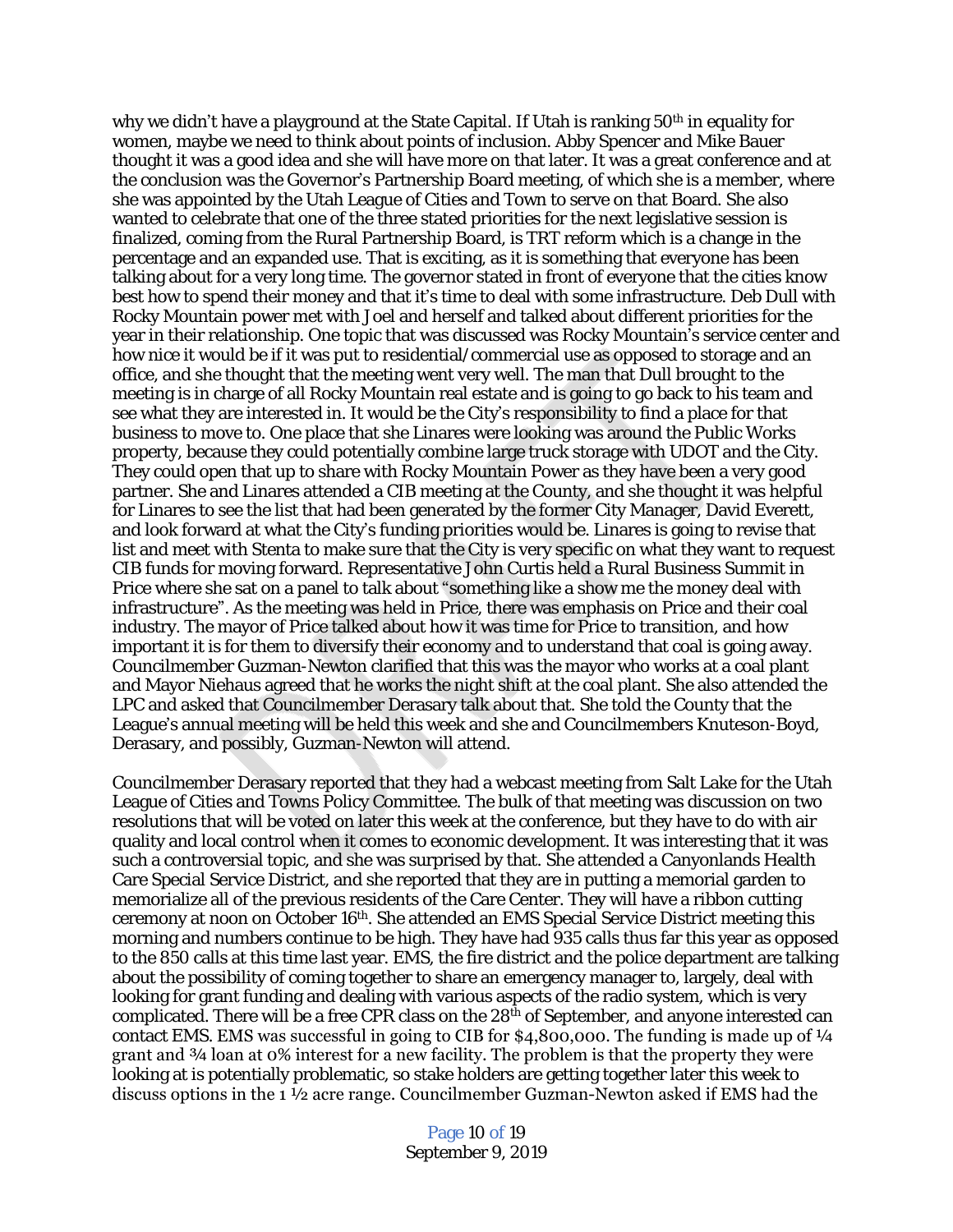why we didn't have a playground at the State Capital. If Utah is ranking 50<sup>th</sup> in equality for women, maybe we need to think about points of inclusion. Abby Spencer and Mike Bauer thought it was a good idea and she will have more on that later. It was a great conference and at the conclusion was the Governor's Partnership Board meeting, of which she is a member, where she was appointed by the Utah League of Cities and Town to serve on that Board. She also wanted to celebrate that one of the three stated priorities for the next legislative session is finalized, coming from the Rural Partnership Board, is TRT reform which is a change in the percentage and an expanded use. That is exciting, as it is something that everyone has been talking about for a very long time. The governor stated in front of everyone that the cities know best how to spend their money and that it's time to deal with some infrastructure. Deb Dull with Rocky Mountain power met with Joel and herself and talked about different priorities for the year in their relationship. One topic that was discussed was Rocky Mountain's service center and how nice it would be if it was put to residential/commercial use as opposed to storage and an office, and she thought that the meeting went very well. The man that Dull brought to the meeting is in charge of all Rocky Mountain real estate and is going to go back to his team and see what they are interested in. It would be the City's responsibility to find a place for that business to move to. One place that she Linares were looking was around the Public Works property, because they could potentially combine large truck storage with UDOT and the City. They could open that up to share with Rocky Mountain Power as they have been a very good partner. She and Linares attended a CIB meeting at the County, and she thought it was helpful for Linares to see the list that had been generated by the former City Manager, David Everett, and look forward at what the City's funding priorities would be. Linares is going to revise that list and meet with Stenta to make sure that the City is very specific on what they want to request CIB funds for moving forward. Representative John Curtis held a Rural Business Summit in Price where she sat on a panel to talk about "something like a show me the money deal with infrastructure". As the meeting was held in Price, there was emphasis on Price and their coal industry. The mayor of Price talked about how it was time for Price to transition, and how important it is for them to diversify their economy and to understand that coal is going away. Councilmember Guzman-Newton clarified that this was the mayor who works at a coal plant and Mayor Niehaus agreed that he works the night shift at the coal plant. She also attended the LPC and asked that Councilmember Derasary talk about that. She told the County that the League's annual meeting will be held this week and she and Councilmembers Knuteson-Boyd, Derasary, and possibly, Guzman-Newton will attend.

Councilmember Derasary reported that they had a webcast meeting from Salt Lake for the Utah League of Cities and Towns Policy Committee. The bulk of that meeting was discussion on two resolutions that will be voted on later this week at the conference, but they have to do with air quality and local control when it comes to economic development. It was interesting that it was such a controversial topic, and she was surprised by that. She attended a Canyonlands Health Care Special Service District, and she reported that they are in putting a memorial garden to memorialize all of the previous residents of the Care Center. They will have a ribbon cutting ceremony at noon on October 16<sup>th</sup>. She attended an EMS Special Service District meeting this morning and numbers continue to be high. They have had 935 calls thus far this year as opposed to the 850 calls at this time last year. EMS, the fire district and the police department are talking about the possibility of coming together to share an emergency manager to, largely, deal with looking for grant funding and dealing with various aspects of the radio system, which is very complicated. There will be a free CPR class on the  $28<sup>th</sup>$  of September, and anyone interested can contact EMS. EMS was successful in going to CIB for  $$4,800,000$ . The funding is made up of  $\frac{1}{4}$ grant and ¾ loan at 0% interest for a new facility. The problem is that the property they were looking at is potentially problematic, so stake holders are getting together later this week to discuss options in the 1 ½ acre range. Councilmember Guzman-Newton asked if EMS had the

> Page 10 of 19 September 9, 2019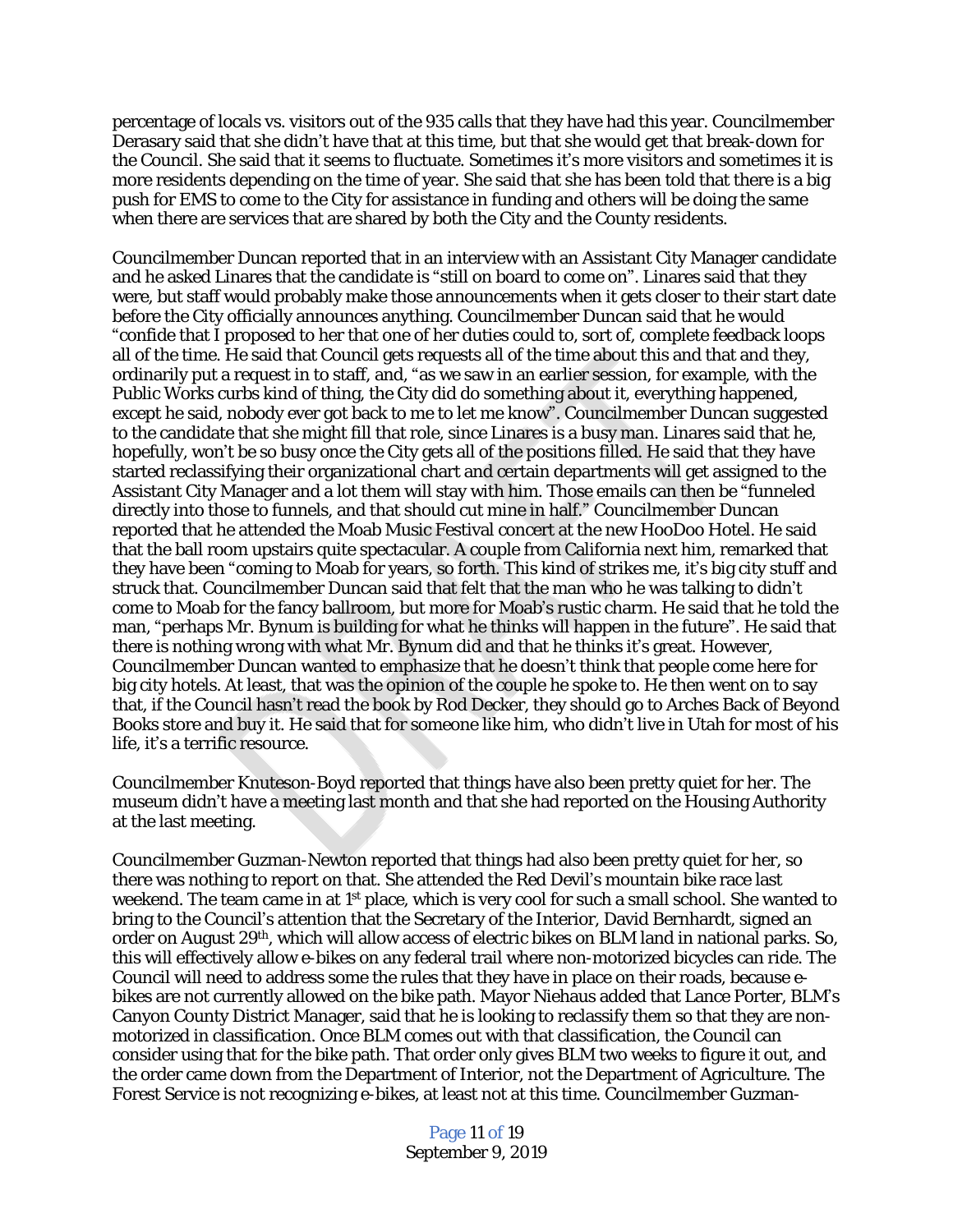percentage of locals vs. visitors out of the 935 calls that they have had this year. Councilmember Derasary said that she didn't have that at this time, but that she would get that break-down for the Council. She said that it seems to fluctuate. Sometimes it's more visitors and sometimes it is more residents depending on the time of year. She said that she has been told that there is a big push for EMS to come to the City for assistance in funding and others will be doing the same when there are services that are shared by both the City and the County residents.

Councilmember Duncan reported that in an interview with an Assistant City Manager candidate and he asked Linares that the candidate is "still on board to come on". Linares said that they were, but staff would probably make those announcements when it gets closer to their start date before the City officially announces anything. Councilmember Duncan said that he would "confide that I proposed to her that one of her duties could to, sort of, complete feedback loops all of the time. He said that Council gets requests all of the time about this and that and they, ordinarily put a request in to staff, and, "as we saw in an earlier session, for example, with the Public Works curbs kind of thing, the City did do something about it, everything happened, except he said, nobody ever got back to me to let me know". Councilmember Duncan suggested to the candidate that she might fill that role, since Linares is a busy man. Linares said that he, hopefully, won't be so busy once the City gets all of the positions filled. He said that they have started reclassifying their organizational chart and certain departments will get assigned to the Assistant City Manager and a lot them will stay with him. Those emails can then be "funneled directly into those to funnels, and that should cut mine in half." Councilmember Duncan reported that he attended the Moab Music Festival concert at the new HooDoo Hotel. He said that the ball room upstairs quite spectacular. A couple from California next him, remarked that they have been "coming to Moab for years, so forth. This kind of strikes me, it's big city stuff and struck that. Councilmember Duncan said that felt that the man who he was talking to didn't come to Moab for the fancy ballroom, but more for Moab's rustic charm. He said that he told the man, "perhaps Mr. Bynum is building for what he thinks will happen in the future". He said that there is nothing wrong with what Mr. Bynum did and that he thinks it's great. However, Councilmember Duncan wanted to emphasize that he doesn't think that people come here for big city hotels. At least, that was the opinion of the couple he spoke to. He then went on to say that, if the Council hasn't read the book by Rod Decker, they should go to Arches Back of Beyond Books store and buy it. He said that for someone like him, who didn't live in Utah for most of his life, it's a terrific resource.

Councilmember Knuteson-Boyd reported that things have also been pretty quiet for her. The museum didn't have a meeting last month and that she had reported on the Housing Authority at the last meeting.

Councilmember Guzman-Newton reported that things had also been pretty quiet for her, so there was nothing to report on that. She attended the Red Devil's mountain bike race last weekend. The team came in at 1<sup>st</sup> place, which is very cool for such a small school. She wanted to bring to the Council's attention that the Secretary of the Interior, David Bernhardt, signed an order on August 29th, which will allow access of electric bikes on BLM land in national parks. So, this will effectively allow e-bikes on any federal trail where non-motorized bicycles can ride. The Council will need to address some the rules that they have in place on their roads, because ebikes are not currently allowed on the bike path. Mayor Niehaus added that Lance Porter, BLM's Canyon County District Manager, said that he is looking to reclassify them so that they are nonmotorized in classification. Once BLM comes out with that classification, the Council can consider using that for the bike path. That order only gives BLM two weeks to figure it out, and the order came down from the Department of Interior, not the Department of Agriculture. The Forest Service is not recognizing e-bikes, at least not at this time. Councilmember Guzman-

> Page 11 of 19 September 9, 2019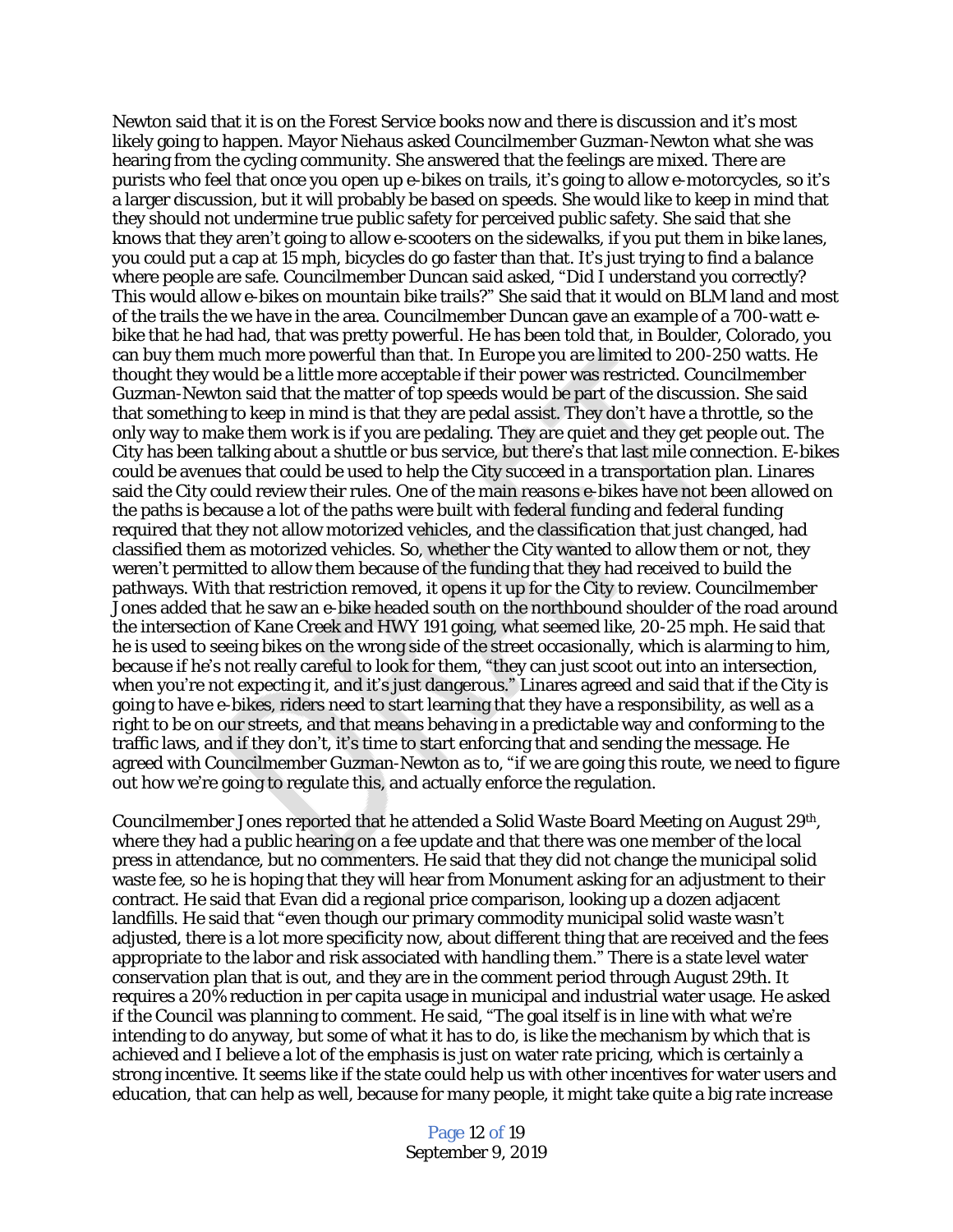Newton said that it is on the Forest Service books now and there is discussion and it's most likely going to happen. Mayor Niehaus asked Councilmember Guzman-Newton what she was hearing from the cycling community. She answered that the feelings are mixed. There are purists who feel that once you open up e-bikes on trails, it's going to allow e-motorcycles, so it's a larger discussion, but it will probably be based on speeds. She would like to keep in mind that they should not undermine true public safety for perceived public safety. She said that she knows that they aren't going to allow e-scooters on the sidewalks, if you put them in bike lanes, you could put a cap at 15 mph, bicycles do go faster than that. It's just trying to find a balance where people are safe. Councilmember Duncan said asked, "Did I understand you correctly? This would allow e-bikes on mountain bike trails?" She said that it would on BLM land and most of the trails the we have in the area. Councilmember Duncan gave an example of a 700-watt ebike that he had had, that was pretty powerful. He has been told that, in Boulder, Colorado, you can buy them much more powerful than that. In Europe you are limited to 200-250 watts. He thought they would be a little more acceptable if their power was restricted. Councilmember Guzman-Newton said that the matter of top speeds would be part of the discussion. She said that something to keep in mind is that they are pedal assist. They don't have a throttle, so the only way to make them work is if you are pedaling. They are quiet and they get people out. The City has been talking about a shuttle or bus service, but there's that last mile connection. E-bikes could be avenues that could be used to help the City succeed in a transportation plan. Linares said the City could review their rules. One of the main reasons e-bikes have not been allowed on the paths is because a lot of the paths were built with federal funding and federal funding required that they not allow motorized vehicles, and the classification that just changed, had classified them as motorized vehicles. So, whether the City wanted to allow them or not, they weren't permitted to allow them because of the funding that they had received to build the pathways. With that restriction removed, it opens it up for the City to review. Councilmember Jones added that he saw an e-bike headed south on the northbound shoulder of the road around the intersection of Kane Creek and HWY 191 going, what seemed like, 20-25 mph. He said that he is used to seeing bikes on the wrong side of the street occasionally, which is alarming to him, because if he's not really careful to look for them, "they can just scoot out into an intersection, when you're not expecting it, and it's just dangerous." Linares agreed and said that if the City is going to have e-bikes, riders need to start learning that they have a responsibility, as well as a right to be on our streets, and that means behaving in a predictable way and conforming to the traffic laws, and if they don't, it's time to start enforcing that and sending the message. He agreed with Councilmember Guzman-Newton as to, "if we are going this route, we need to figure out how we're going to regulate this, and actually enforce the regulation.

Councilmember Jones reported that he attended a Solid Waste Board Meeting on August 29<sup>th</sup>, where they had a public hearing on a fee update and that there was one member of the local press in attendance, but no commenters. He said that they did not change the municipal solid waste fee, so he is hoping that they will hear from Monument asking for an adjustment to their contract. He said that Evan did a regional price comparison, looking up a dozen adjacent landfills. He said that "even though our primary commodity municipal solid waste wasn't adjusted, there is a lot more specificity now, about different thing that are received and the fees appropriate to the labor and risk associated with handling them.<sup>"</sup> There is a state level water conservation plan that is out, and they are in the comment period through August 29th. It requires a 20% reduction in per capita usage in municipal and industrial water usage. He asked if the Council was planning to comment. He said, "The goal itself is in line with what we're intending to do anyway, but some of what it has to do, is like the mechanism by which that is achieved and I believe a lot of the emphasis is just on water rate pricing, which is certainly a strong incentive. It seems like if the state could help us with other incentives for water users and education, that can help as well, because for many people, it might take quite a big rate increase

> Page 12 of 19 September 9, 2019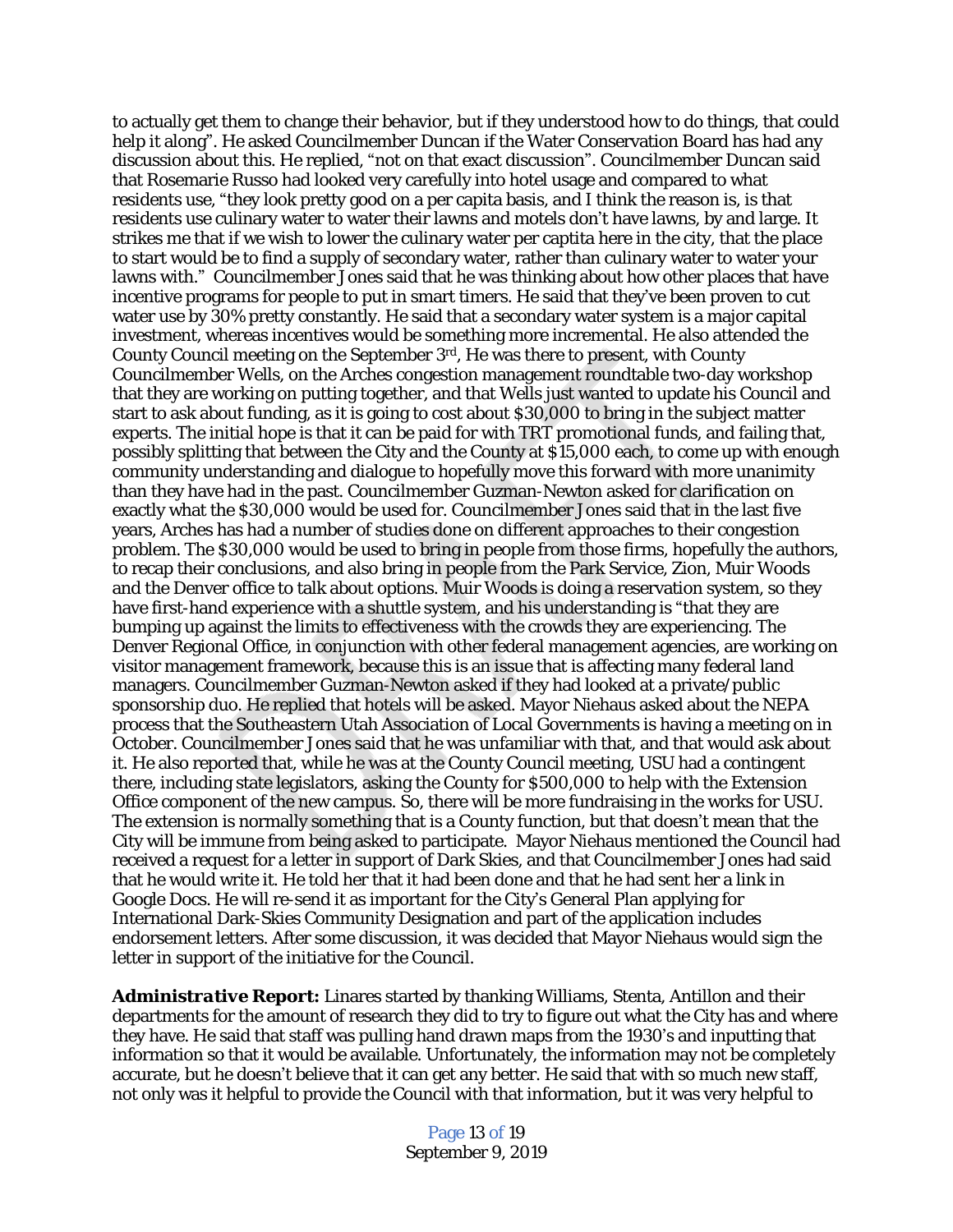to actually get them to change their behavior, but if they understood how to do things, that could help it along". He asked Councilmember Duncan if the Water Conservation Board has had any discussion about this. He replied, "not on that exact discussion". Councilmember Duncan said that Rosemarie Russo had looked very carefully into hotel usage and compared to what residents use, "they look pretty good on a per capita basis, and I think the reason is, is that residents use culinary water to water their lawns and motels don't have lawns, by and large. It strikes me that if we wish to lower the culinary water per captita here in the city, that the place to start would be to find a supply of secondary water, rather than culinary water to water your lawns with." Councilmember Jones said that he was thinking about how other places that have incentive programs for people to put in smart timers. He said that they've been proven to cut water use by 30% pretty constantly. He said that a secondary water system is a major capital investment, whereas incentives would be something more incremental. He also attended the County Council meeting on the September  $3<sup>rd</sup>$ , He was there to present, with County Councilmember Wells, on the Arches congestion management roundtable two-day workshop that they are working on putting together, and that Wells just wanted to update his Council and start to ask about funding, as it is going to cost about \$30,000 to bring in the subject matter experts. The initial hope is that it can be paid for with TRT promotional funds, and failing that, possibly splitting that between the City and the County at \$15,000 each, to come up with enough community understanding and dialogue to hopefully move this forward with more unanimity than they have had in the past. Councilmember Guzman-Newton asked for clarification on exactly what the \$30,000 would be used for. Councilmember Jones said that in the last five years, Arches has had a number of studies done on different approaches to their congestion problem. The \$30,000 would be used to bring in people from those firms, hopefully the authors, to recap their conclusions, and also bring in people from the Park Service, Zion, Muir Woods and the Denver office to talk about options. Muir Woods is doing a reservation system, so they have first-hand experience with a shuttle system, and his understanding is "that they are bumping up against the limits to effectiveness with the crowds they are experiencing. The Denver Regional Office, in conjunction with other federal management agencies, are working on visitor management framework, because this is an issue that is affecting many federal land managers. Councilmember Guzman-Newton asked if they had looked at a private/public sponsorship duo. He replied that hotels will be asked. Mayor Niehaus asked about the NEPA process that the Southeastern Utah Association of Local Governments is having a meeting on in October. Councilmember Jones said that he was unfamiliar with that, and that would ask about it. He also reported that, while he was at the County Council meeting, USU had a contingent there, including state legislators, asking the County for \$500,000 to help with the Extension Office component of the new campus. So, there will be more fundraising in the works for USU. The extension is normally something that is a County function, but that doesn't mean that the City will be immune from being asked to participate. Mayor Niehaus mentioned the Council had received a request for a letter in support of Dark Skies, and that Councilmember Jones had said that he would write it. He told her that it had been done and that he had sent her a link in Google Docs. He will re-send it as important for the City's General Plan applying for International Dark-Skies Community Designation and part of the application includes endorsement letters. After some discussion, it was decided that Mayor Niehaus would sign the letter in support of the initiative for the Council.

*Administrative Report:* Linares started by thanking Williams, Stenta, Antillon and their departments for the amount of research they did to try to figure out what the City has and where they have. He said that staff was pulling hand drawn maps from the 1930's and inputting that information so that it would be available. Unfortunately, the information may not be completely accurate, but he doesn't believe that it can get any better. He said that with so much new staff, not only was it helpful to provide the Council with that information, but it was very helpful to

> Page 13 of 19 September 9, 2019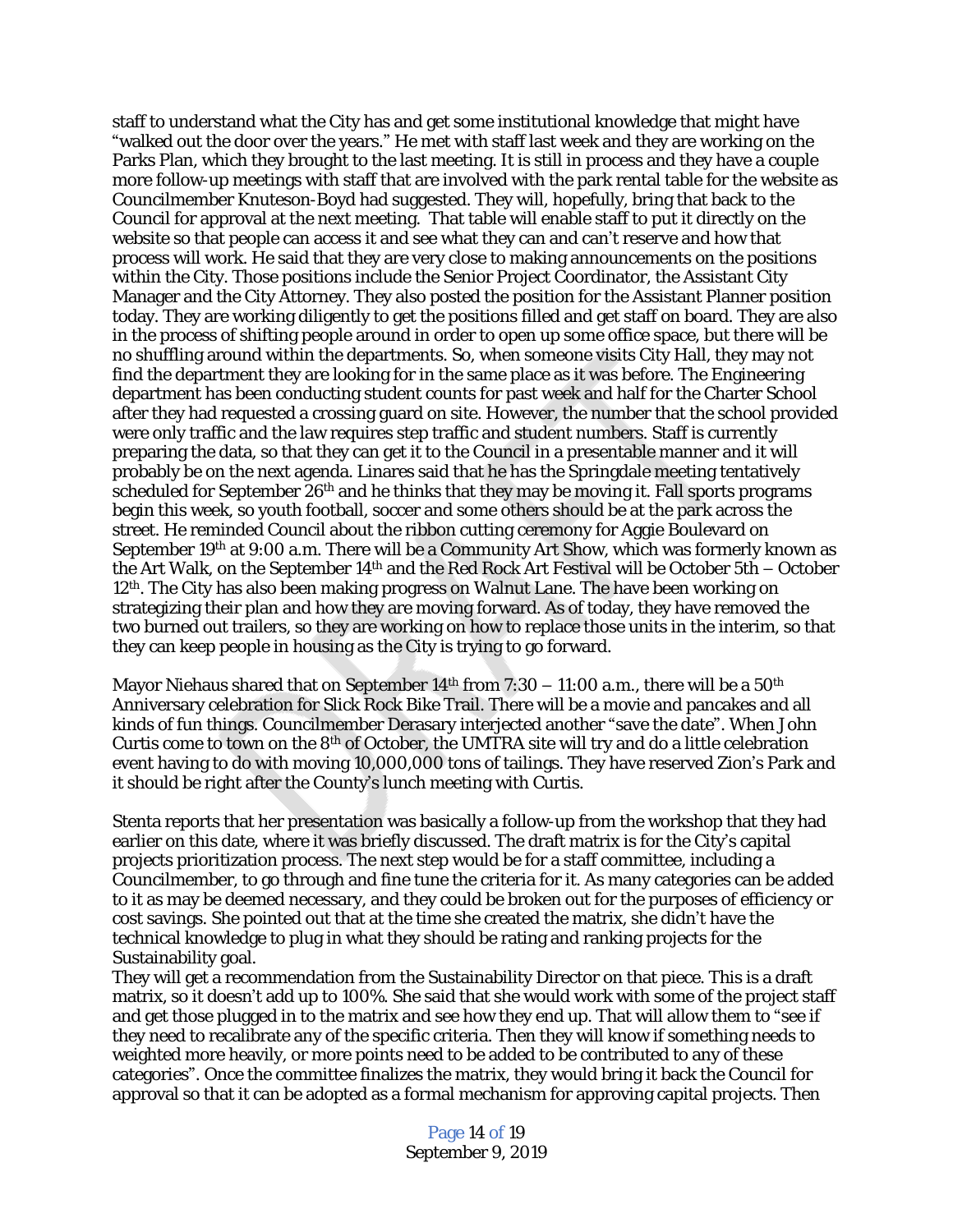staff to understand what the City has and get some institutional knowledge that might have "walked out the door over the years." He met with staff last week and they are working on the Parks Plan, which they brought to the last meeting. It is still in process and they have a couple more follow-up meetings with staff that are involved with the park rental table for the website as Councilmember Knuteson-Boyd had suggested. They will, hopefully, bring that back to the Council for approval at the next meeting. That table will enable staff to put it directly on the website so that people can access it and see what they can and can't reserve and how that process will work. He said that they are very close to making announcements on the positions within the City. Those positions include the Senior Project Coordinator, the Assistant City Manager and the City Attorney. They also posted the position for the Assistant Planner position today. They are working diligently to get the positions filled and get staff on board. They are also in the process of shifting people around in order to open up some office space, but there will be no shuffling around within the departments. So, when someone visits City Hall, they may not find the department they are looking for in the same place as it was before. The Engineering department has been conducting student counts for past week and half for the Charter School after they had requested a crossing guard on site. However, the number that the school provided were only traffic and the law requires step traffic and student numbers. Staff is currently preparing the data, so that they can get it to the Council in a presentable manner and it will probably be on the next agenda. Linares said that he has the Springdale meeting tentatively scheduled for September  $26<sup>th</sup>$  and he thinks that they may be moving it. Fall sports programs begin this week, so youth football, soccer and some others should be at the park across the street. He reminded Council about the ribbon cutting ceremony for Aggie Boulevard on September 19th at 9:00 a.m. There will be a Community Art Show, which was formerly known as the Art Walk, on the September 14th and the Red Rock Art Festival will be October 5th – October 12th. The City has also been making progress on Walnut Lane. The have been working on strategizing their plan and how they are moving forward. As of today, they have removed the two burned out trailers, so they are working on how to replace those units in the interim, so that they can keep people in housing as the City is trying to go forward.

Mayor Niehaus shared that on September  $14<sup>th</sup>$  from 7:30 – 11:00 a.m., there will be a 50<sup>th</sup> Anniversary celebration for Slick Rock Bike Trail. There will be a movie and pancakes and all kinds of fun things. Councilmember Derasary interjected another "save the date". When John Curtis come to town on the 8<sup>th</sup> of October, the UMTRA site will try and do a little celebration event having to do with moving 10,000,000 tons of tailings. They have reserved Zion's Park and it should be right after the County's lunch meeting with Curtis.

Stenta reports that her presentation was basically a follow-up from the workshop that they had earlier on this date, where it was briefly discussed. The draft matrix is for the City's capital projects prioritization process. The next step would be for a staff committee, including a Councilmember, to go through and fine tune the criteria for it. As many categories can be added to it as may be deemed necessary, and they could be broken out for the purposes of efficiency or cost savings. She pointed out that at the time she created the matrix, she didn't have the technical knowledge to plug in what they should be rating and ranking projects for the Sustainability goal.

They will get a recommendation from the Sustainability Director on that piece. This is a draft matrix, so it doesn't add up to 100%. She said that she would work with some of the project staff and get those plugged in to the matrix and see how they end up. That will allow them to "see if they need to recalibrate any of the specific criteria. Then they will know if something needs to weighted more heavily, or more points need to be added to be contributed to any of these categories". Once the committee finalizes the matrix, they would bring it back the Council for approval so that it can be adopted as a formal mechanism for approving capital projects. Then

> Page 14 of 19 September 9, 2019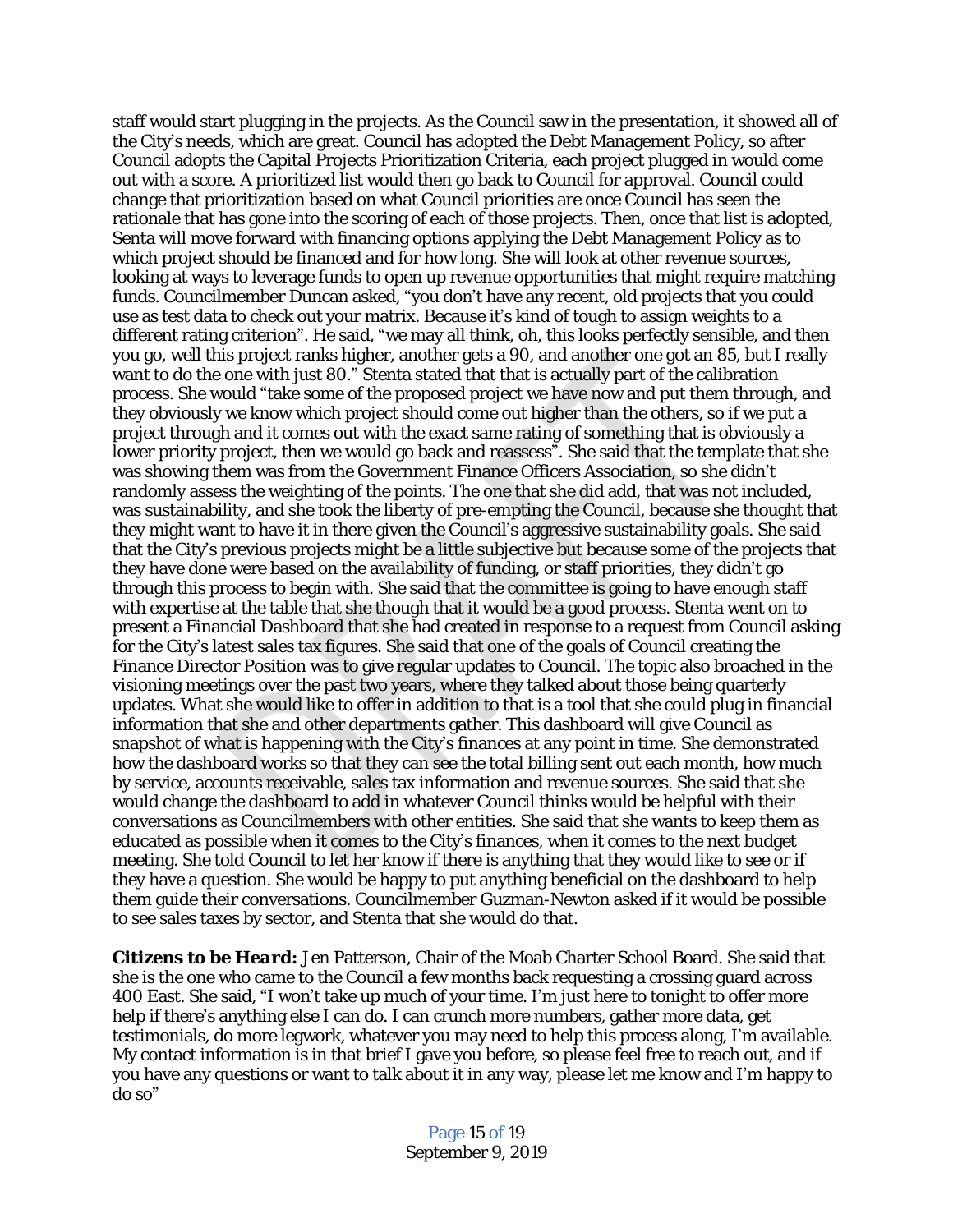staff would start plugging in the projects. As the Council saw in the presentation, it showed all of the City's needs, which are great. Council has adopted the Debt Management Policy, so after Council adopts the Capital Projects Prioritization Criteria, each project plugged in would come out with a score. A prioritized list would then go back to Council for approval. Council could change that prioritization based on what Council priorities are once Council has seen the rationale that has gone into the scoring of each of those projects. Then, once that list is adopted, Senta will move forward with financing options applying the Debt Management Policy as to which project should be financed and for how long. She will look at other revenue sources, looking at ways to leverage funds to open up revenue opportunities that might require matching funds. Councilmember Duncan asked, "you don't have any recent, old projects that you could use as test data to check out your matrix. Because it's kind of tough to assign weights to a different rating criterion". He said, "we may all think, oh, this looks perfectly sensible, and then you go, well this project ranks higher, another gets a 90, and another one got an 85, but I really want to do the one with just 80." Stenta stated that that is actually part of the calibration process. She would "take some of the proposed project we have now and put them through, and they obviously we know which project should come out higher than the others, so if we put a project through and it comes out with the exact same rating of something that is obviously a lower priority project, then we would go back and reassess". She said that the template that she was showing them was from the Government Finance Officers Association, so she didn't randomly assess the weighting of the points. The one that she did add, that was not included, was sustainability, and she took the liberty of pre-empting the Council, because she thought that they might want to have it in there given the Council's aggressive sustainability goals. She said that the City's previous projects might be a little subjective but because some of the projects that they have done were based on the availability of funding, or staff priorities, they didn't go through this process to begin with. She said that the committee is going to have enough staff with expertise at the table that she though that it would be a good process. Stenta went on to present a Financial Dashboard that she had created in response to a request from Council asking for the City's latest sales tax figures. She said that one of the goals of Council creating the Finance Director Position was to give regular updates to Council. The topic also broached in the visioning meetings over the past two years, where they talked about those being quarterly updates. What she would like to offer in addition to that is a tool that she could plug in financial information that she and other departments gather. This dashboard will give Council as snapshot of what is happening with the City's finances at any point in time. She demonstrated how the dashboard works so that they can see the total billing sent out each month, how much by service, accounts receivable, sales tax information and revenue sources. She said that she would change the dashboard to add in whatever Council thinks would be helpful with their conversations as Councilmembers with other entities. She said that she wants to keep them as educated as possible when it comes to the City's finances, when it comes to the next budget meeting. She told Council to let her know if there is anything that they would like to see or if they have a question. She would be happy to put anything beneficial on the dashboard to help them guide their conversations. Councilmember Guzman-Newton asked if it would be possible to see sales taxes by sector, and Stenta that she would do that.

*Citizens to be Heard:* Jen Patterson, Chair of the Moab Charter School Board. She said that she is the one who came to the Council a few months back requesting a crossing guard across 400 East. She said, "I won't take up much of your time. I'm just here to tonight to offer more help if there's anything else I can do. I can crunch more numbers, gather more data, get testimonials, do more legwork, whatever you may need to help this process along, I'm available. My contact information is in that brief I gave you before, so please feel free to reach out, and if you have any questions or want to talk about it in any way, please let me know and I'm happy to do so"

> Page 15 of 19 September 9, 2019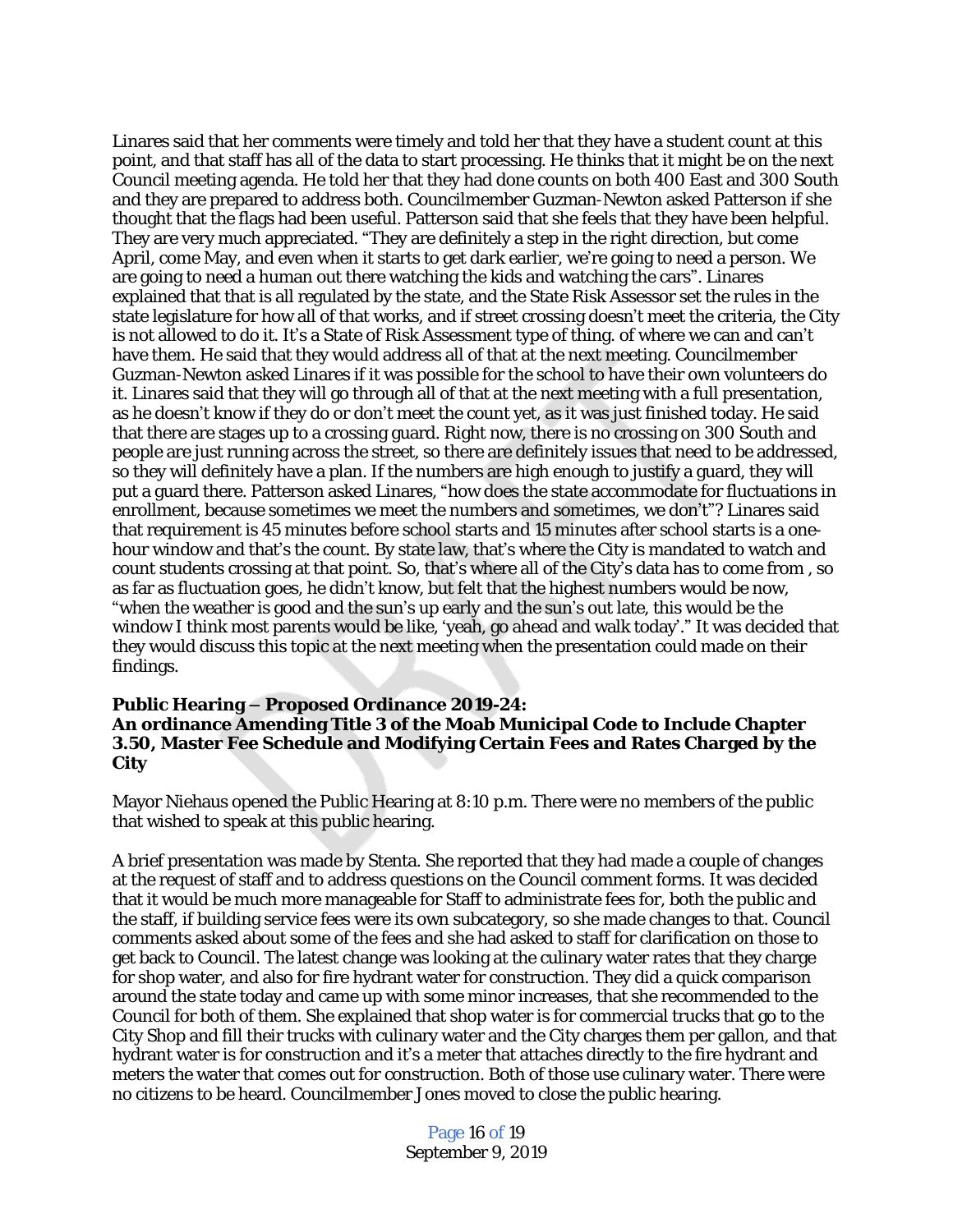Linares said that her comments were timely and told her that they have a student count at this point, and that staff has all of the data to start processing. He thinks that it might be on the next Council meeting agenda. He told her that they had done counts on both 400 East and 300 South and they are prepared to address both. Councilmember Guzman-Newton asked Patterson if she thought that the flags had been useful. Patterson said that she feels that they have been helpful. They are very much appreciated. "They are definitely a step in the right direction, but come April, come May, and even when it starts to get dark earlier, we're going to need a person. We are going to need a human out there watching the kids and watching the cars". Linares explained that that is all regulated by the state, and the State Risk Assessor set the rules in the state legislature for how all of that works, and if street crossing doesn't meet the criteria, the City is not allowed to do it. It's a State of Risk Assessment type of thing. of where we can and can't have them. He said that they would address all of that at the next meeting. Councilmember Guzman-Newton asked Linares if it was possible for the school to have their own volunteers do it. Linares said that they will go through all of that at the next meeting with a full presentation, as he doesn't know if they do or don't meet the count yet, as it was just finished today. He said that there are stages up to a crossing guard. Right now, there is no crossing on 300 South and people are just running across the street, so there are definitely issues that need to be addressed, so they will definitely have a plan. If the numbers are high enough to justify a guard, they will put a guard there. Patterson asked Linares, "how does the state accommodate for fluctuations in enrollment, because sometimes we meet the numbers and sometimes, we don't"? Linares said that requirement is 45 minutes before school starts and 15 minutes after school starts is a onehour window and that's the count. By state law, that's where the City is mandated to watch and count students crossing at that point. So, that's where all of the City's data has to come from , so as far as fluctuation goes, he didn't know, but felt that the highest numbers would be now, "when the weather is good and the sun's up early and the sun's out late, this would be the window I think most parents would be like, 'yeah, go ahead and walk today'." It was decided that they would discuss this topic at the next meeting when the presentation could made on their findings.

#### **Public Hearing – Proposed Ordinance 2019-24: An ordinance Amending Title 3 of the Moab Municipal Code to Include Chapter 3.50, Master Fee Schedule and Modifying Certain Fees and Rates Charged by the City**

Mayor Niehaus opened the Public Hearing at 8:10 p.m. There were no members of the public that wished to speak at this public hearing.

A brief presentation was made by Stenta. She reported that they had made a couple of changes at the request of staff and to address questions on the Council comment forms. It was decided that it would be much more manageable for Staff to administrate fees for, both the public and the staff, if building service fees were its own subcategory, so she made changes to that. Council comments asked about some of the fees and she had asked to staff for clarification on those to get back to Council. The latest change was looking at the culinary water rates that they charge for shop water, and also for fire hydrant water for construction. They did a quick comparison around the state today and came up with some minor increases, that she recommended to the Council for both of them. She explained that shop water is for commercial trucks that go to the City Shop and fill their trucks with culinary water and the City charges them per gallon, and that hydrant water is for construction and it's a meter that attaches directly to the fire hydrant and meters the water that comes out for construction. Both of those use culinary water. There were no citizens to be heard. Councilmember Jones moved to close the public hearing.

> Page 16 of 19 September 9, 2019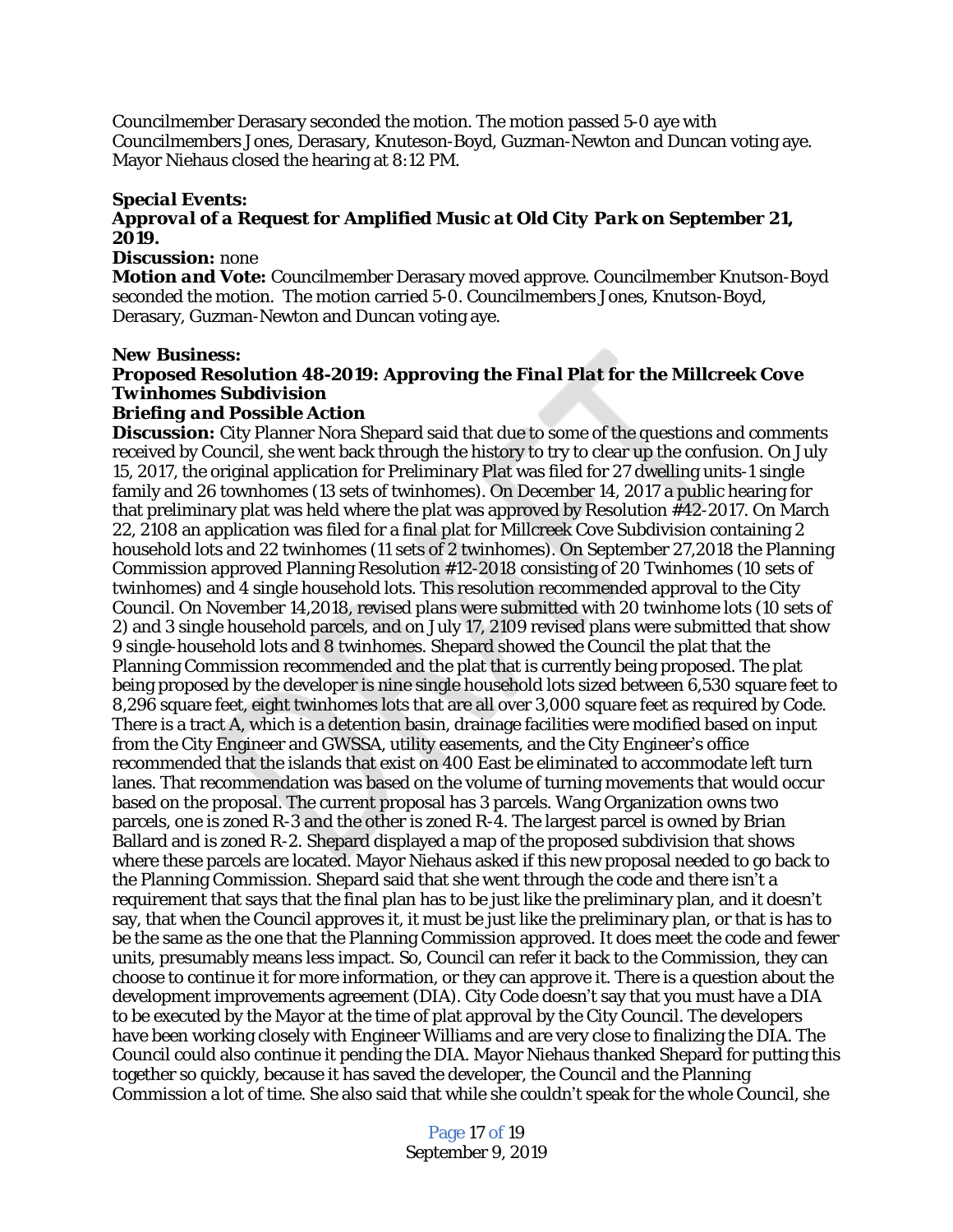Councilmember Derasary seconded the motion. The motion passed 5-0 aye with Councilmembers Jones, Derasary, Knuteson-Boyd, Guzman-Newton and Duncan voting aye. Mayor Niehaus closed the hearing at 8:12 PM.

# *Special Events:*

# *Approval of a Request for Amplified Music at Old City Park on September 21, 2019.*

#### *Discussion:* none

*Motion and Vote:* Councilmember Derasary moved approve. Councilmember Knutson-Boyd seconded the motion. The motion carried 5-0. Councilmembers Jones, Knutson-Boyd, Derasary, Guzman-Newton and Duncan voting aye.

#### *New Business:*

# *Proposed Resolution 48-2019: Approving the Final Plat for the Millcreek Cove Twinhomes Subdivision*

## *Briefing and Possible Action*

**Discussion:** City Planner Nora Shepard said that due to some of the questions and comments received by Council, she went back through the history to try to clear up the confusion. On July 15, 2017, the original application for Preliminary Plat was filed for 27 dwelling units-1 single family and 26 townhomes (13 sets of twinhomes). On December 14, 2017 a public hearing for that preliminary plat was held where the plat was approved by Resolution #42-2017. On March 22, 2108 an application was filed for a final plat for Millcreek Cove Subdivision containing 2 household lots and 22 twinhomes (11 sets of 2 twinhomes). On September 27,2018 the Planning Commission approved Planning Resolution #12-2018 consisting of 20 Twinhomes (10 sets of twinhomes) and 4 single household lots. This resolution recommended approval to the City Council. On November 14,2018, revised plans were submitted with 20 twinhome lots (10 sets of 2) and 3 single household parcels, and on July 17, 2109 revised plans were submitted that show 9 single-household lots and 8 twinhomes. Shepard showed the Council the plat that the Planning Commission recommended and the plat that is currently being proposed. The plat being proposed by the developer is nine single household lots sized between 6,530 square feet to 8,296 square feet, eight twinhomes lots that are all over 3,000 square feet as required by Code. There is a tract A, which is a detention basin, drainage facilities were modified based on input from the City Engineer and GWSSA, utility easements, and the City Engineer's office recommended that the islands that exist on 400 East be eliminated to accommodate left turn lanes. That recommendation was based on the volume of turning movements that would occur based on the proposal. The current proposal has 3 parcels. Wang Organization owns two parcels, one is zoned R-3 and the other is zoned R-4. The largest parcel is owned by Brian Ballard and is zoned R-2. Shepard displayed a map of the proposed subdivision that shows where these parcels are located. Mayor Niehaus asked if this new proposal needed to go back to the Planning Commission. Shepard said that she went through the code and there isn't a requirement that says that the final plan has to be just like the preliminary plan, and it doesn't say, that when the Council approves it, it must be just like the preliminary plan, or that is has to be the same as the one that the Planning Commission approved. It does meet the code and fewer units, presumably means less impact. So, Council can refer it back to the Commission, they can choose to continue it for more information, or they can approve it. There is a question about the development improvements agreement (DIA). City Code doesn't say that you must have a DIA to be executed by the Mayor at the time of plat approval by the City Council. The developers have been working closely with Engineer Williams and are very close to finalizing the DIA. The Council could also continue it pending the DIA. Mayor Niehaus thanked Shepard for putting this together so quickly, because it has saved the developer, the Council and the Planning Commission a lot of time. She also said that while she couldn't speak for the whole Council, she

> Page 17 of 19 September 9, 2019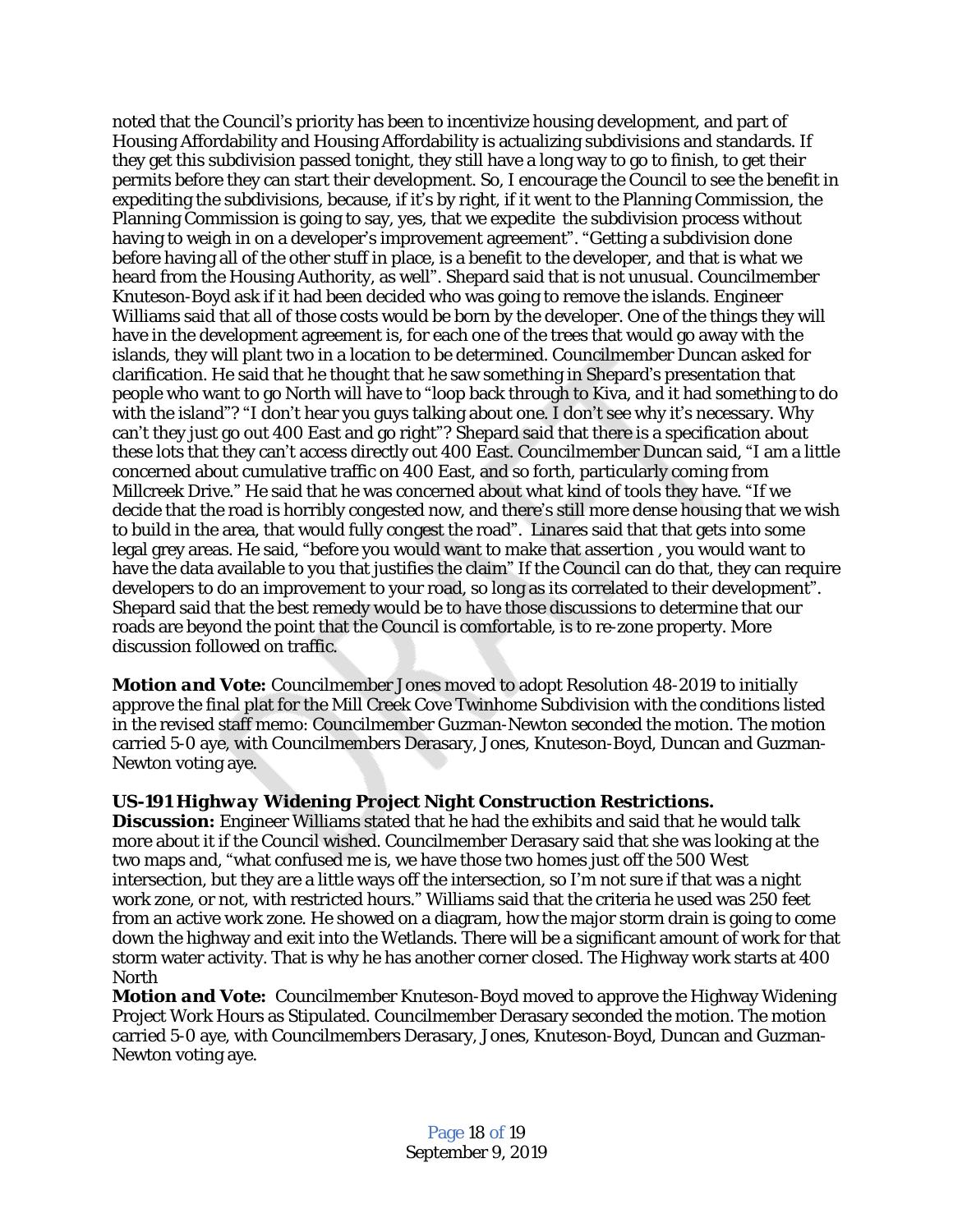noted that the Council's priority has been to incentivize housing development, and part of Housing Affordability and Housing Affordability is actualizing subdivisions and standards. If they get this subdivision passed tonight, they still have a long way to go to finish, to get their permits before they can start their development. So, I encourage the Council to see the benefit in expediting the subdivisions, because, if it's by right, if it went to the Planning Commission, the Planning Commission is going to say, yes, that we expedite the subdivision process without having to weigh in on a developer's improvement agreement". "Getting a subdivision done before having all of the other stuff in place, is a benefit to the developer, and that is what we heard from the Housing Authority, as well". Shepard said that is not unusual. Councilmember Knuteson-Boyd ask if it had been decided who was going to remove the islands. Engineer Williams said that all of those costs would be born by the developer. One of the things they will have in the development agreement is, for each one of the trees that would go away with the islands, they will plant two in a location to be determined. Councilmember Duncan asked for clarification. He said that he thought that he saw something in Shepard's presentation that people who want to go North will have to "loop back through to Kiva, and it had something to do with the island"? "I don't hear you guys talking about one. I don't see why it's necessary. Why can't they just go out 400 East and go right"? Shepard said that there is a specification about these lots that they can't access directly out 400 East. Councilmember Duncan said, "I am a little concerned about cumulative traffic on 400 East, and so forth, particularly coming from Millcreek Drive." He said that he was concerned about what kind of tools they have. "If we decide that the road is horribly congested now, and there's still more dense housing that we wish to build in the area, that would fully congest the road". Linares said that that gets into some legal grey areas. He said, "before you would want to make that assertion , you would want to have the data available to you that justifies the claim" If the Council can do that, they can require developers to do an improvement to your road, so long as its correlated to their development". Shepard said that the best remedy would be to have those discussions to determine that our roads are beyond the point that the Council is comfortable, is to re-zone property. More discussion followed on traffic.

*Motion and Vote:* Councilmember Jones moved to adopt Resolution 48-2019 to initially approve the final plat for the Mill Creek Cove Twinhome Subdivision with the conditions listed in the revised staff memo: Councilmember Guzman-Newton seconded the motion. The motion carried 5-0 aye, with Councilmembers Derasary, Jones, Knuteson-Boyd, Duncan and Guzman-Newton voting aye.

# *US-191 Highway Widening Project Night Construction Restrictions.*

**Discussion:** Engineer Williams stated that he had the exhibits and said that he would talk more about it if the Council wished. Councilmember Derasary said that she was looking at the two maps and, "what confused me is, we have those two homes just off the 500 West intersection, but they are a little ways off the intersection, so I'm not sure if that was a night work zone, or not, with restricted hours." Williams said that the criteria he used was 250 feet from an active work zone. He showed on a diagram, how the major storm drain is going to come down the highway and exit into the Wetlands. There will be a significant amount of work for that storm water activity. That is why he has another corner closed. The Highway work starts at 400 North

*Motion and Vote:* Councilmember Knuteson-Boyd moved to approve the Highway Widening Project Work Hours as Stipulated. Councilmember Derasary seconded the motion. The motion carried 5-0 aye, with Councilmembers Derasary, Jones, Knuteson-Boyd, Duncan and Guzman-Newton voting aye.